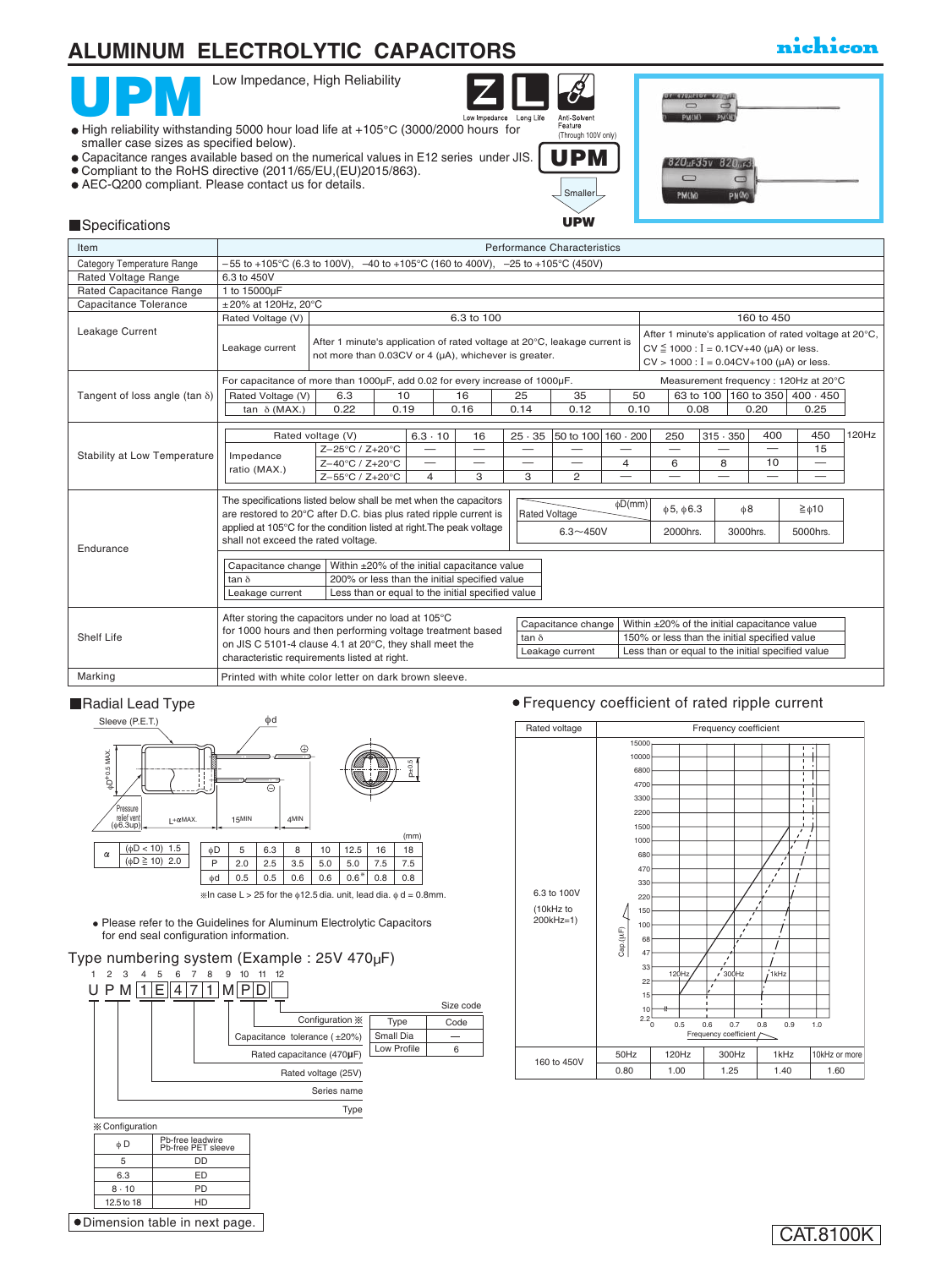### nichicon



| Item                                  |                                                                                                                                                                                                                                                      | <b>Performance Characteristics</b>                                                                                                 |                                                   |  |                          |                          |                                       |              |                                  |                                                                                                                                                    |                          |                                                        |       |
|---------------------------------------|------------------------------------------------------------------------------------------------------------------------------------------------------------------------------------------------------------------------------------------------------|------------------------------------------------------------------------------------------------------------------------------------|---------------------------------------------------|--|--------------------------|--------------------------|---------------------------------------|--------------|----------------------------------|----------------------------------------------------------------------------------------------------------------------------------------------------|--------------------------|--------------------------------------------------------|-------|
| Category Temperature Range            |                                                                                                                                                                                                                                                      | $-55$ to +105°C (6.3 to 100V), $-40$ to +105°C (160 to 400V), $-25$ to +105°C (450V)                                               |                                                   |  |                          |                          |                                       |              |                                  |                                                                                                                                                    |                          |                                                        |       |
| Rated Voltage Range                   | 6.3 to 450V                                                                                                                                                                                                                                          |                                                                                                                                    |                                                   |  |                          |                          |                                       |              |                                  |                                                                                                                                                    |                          |                                                        |       |
| Rated Capacitance Range               | 1 to 15000µF                                                                                                                                                                                                                                         |                                                                                                                                    |                                                   |  |                          |                          |                                       |              |                                  |                                                                                                                                                    |                          |                                                        |       |
| Capacitance Tolerance                 | $\pm$ 20% at 120Hz. 20°C                                                                                                                                                                                                                             |                                                                                                                                    |                                                   |  |                          |                          |                                       |              |                                  |                                                                                                                                                    |                          |                                                        |       |
|                                       | Rated Voltage (V)                                                                                                                                                                                                                                    |                                                                                                                                    |                                                   |  | 6.3 to 100               |                          |                                       |              |                                  |                                                                                                                                                    | 160 to 450               |                                                        |       |
| Leakage Current                       | Leakage current                                                                                                                                                                                                                                      | After 1 minute's application of rated voltage at 20°C, leakage current is<br>not more than 0.03CV or 4 (µA), whichever is greater. |                                                   |  |                          |                          |                                       |              |                                  | $CV \le 1000$ : $I = 0.1CV+40$ ( $\mu$ A) or less.<br>$CV > 1000$ : $I = 0.04CV + 100$ (µA) or less.                                               |                          | After 1 minute's application of rated voltage at 20°C, |       |
|                                       | For capacitance of more than 1000µF, add 0.02 for every increase of 1000µF.                                                                                                                                                                          |                                                                                                                                    |                                                   |  |                          |                          |                                       |              |                                  |                                                                                                                                                    |                          | Measurement frequency: 120Hz at 20°C                   |       |
| Tangent of loss angle (tan $\delta$ ) |                                                                                                                                                                                                                                                      | Rated Voltage (V)<br>63 to 100 160 to 350 400 · 450<br>6.3<br>10<br>16<br>25<br>35<br>50                                           |                                                   |  |                          |                          |                                       |              |                                  |                                                                                                                                                    |                          |                                                        |       |
|                                       | tan $\delta$ (MAX.)                                                                                                                                                                                                                                  | 0.12<br>0.22<br>0.19<br>0.16<br>0.14<br>0.10<br>0.08<br>0.20                                                                       |                                                   |  |                          |                          |                                       |              |                                  | 0.25                                                                                                                                               |                          |                                                        |       |
|                                       |                                                                                                                                                                                                                                                      |                                                                                                                                    |                                                   |  |                          |                          |                                       |              |                                  |                                                                                                                                                    |                          |                                                        |       |
|                                       |                                                                                                                                                                                                                                                      | Rated voltage (V)                                                                                                                  | $6.3 \cdot 10$                                    |  | 16                       | $25 \cdot 35$            | 50 to 100 160 · 200                   |              | 250                              | $315 \cdot 350$                                                                                                                                    | 400                      | 450                                                    | 120Hz |
| Stability at Low Temperature          | Impedance                                                                                                                                                                                                                                            | Z-25°C / Z+20°C                                                                                                                    | $\overline{\phantom{0}}$                          |  | $\overline{\phantom{0}}$ | $\overline{\phantom{0}}$ |                                       |              | $\overline{\phantom{0}}$         |                                                                                                                                                    | $\overline{\phantom{0}}$ | 15                                                     |       |
|                                       | ratio (MAX.)                                                                                                                                                                                                                                         | $Z - 40^{\circ}C / Z + 20^{\circ}C$                                                                                                | $\overline{\phantom{0}}$                          |  |                          |                          | —                                     | 4            | 6                                | 8                                                                                                                                                  | 10                       | $\overline{\phantom{0}}$                               |       |
|                                       |                                                                                                                                                                                                                                                      | Z-55°C / Z+20°C                                                                                                                    | $\overline{4}$                                    |  | 3                        | 3                        | $\overline{2}$                        |              |                                  |                                                                                                                                                    | $\overline{\phantom{0}}$ |                                                        |       |
|                                       | The specifications listed below shall be met when the capacitors<br>are restored to 20°C after D.C. bias plus rated ripple current is<br>applied at 105°C for the condition listed at right. The peak voltage<br>shall not exceed the rated voltage. |                                                                                                                                    |                                                   |  |                          | <b>Rated Voltage</b>     | $6.3 - 450V$                          | $\phi$ D(mm) | $\phi$ 5, $\phi$ 6.3<br>2000hrs. |                                                                                                                                                    | $\phi$ 8<br>3000hrs.     | $\geq \phi 10$<br>5000hrs.                             |       |
| Endurance                             |                                                                                                                                                                                                                                                      |                                                                                                                                    |                                                   |  |                          |                          |                                       |              |                                  |                                                                                                                                                    |                          |                                                        |       |
|                                       | Capacitance change                                                                                                                                                                                                                                   |                                                                                                                                    | Within ±20% of the initial capacitance value      |  |                          |                          |                                       |              |                                  |                                                                                                                                                    |                          |                                                        |       |
|                                       | $tan \delta$                                                                                                                                                                                                                                         |                                                                                                                                    | 200% or less than the initial specified value     |  |                          |                          |                                       |              |                                  |                                                                                                                                                    |                          |                                                        |       |
|                                       | Leakage current                                                                                                                                                                                                                                      |                                                                                                                                    | Less than or equal to the initial specified value |  |                          |                          |                                       |              |                                  |                                                                                                                                                    |                          |                                                        |       |
| Shelf Life                            | After storing the capacitors under no load at 105°C<br>for 1000 hours and then performing voltage treatment based<br>on JIS C 5101-4 clause 4.1 at 20°C, they shall meet the<br>characteristic requirements listed at right.                         |                                                                                                                                    |                                                   |  |                          | tan $\delta$             | Capacitance change<br>Leakage current |              |                                  | Within ±20% of the initial capacitance value<br>150% or less than the initial specified value<br>Less than or equal to the initial specified value |                          |                                                        |       |
| Marking                               | Printed with white color letter on dark brown sleeve.                                                                                                                                                                                                |                                                                                                                                    |                                                   |  |                          |                          |                                       |              |                                  |                                                                                                                                                    |                          |                                                        |       |

### Radial Lead Type



Please refer to the Guidelines for Aluminum Electrolytic Capacitors for end seal configuration information.

### Type numbering system (Example : 25V 470µF)



### Frequency coefficient of rated ripple current

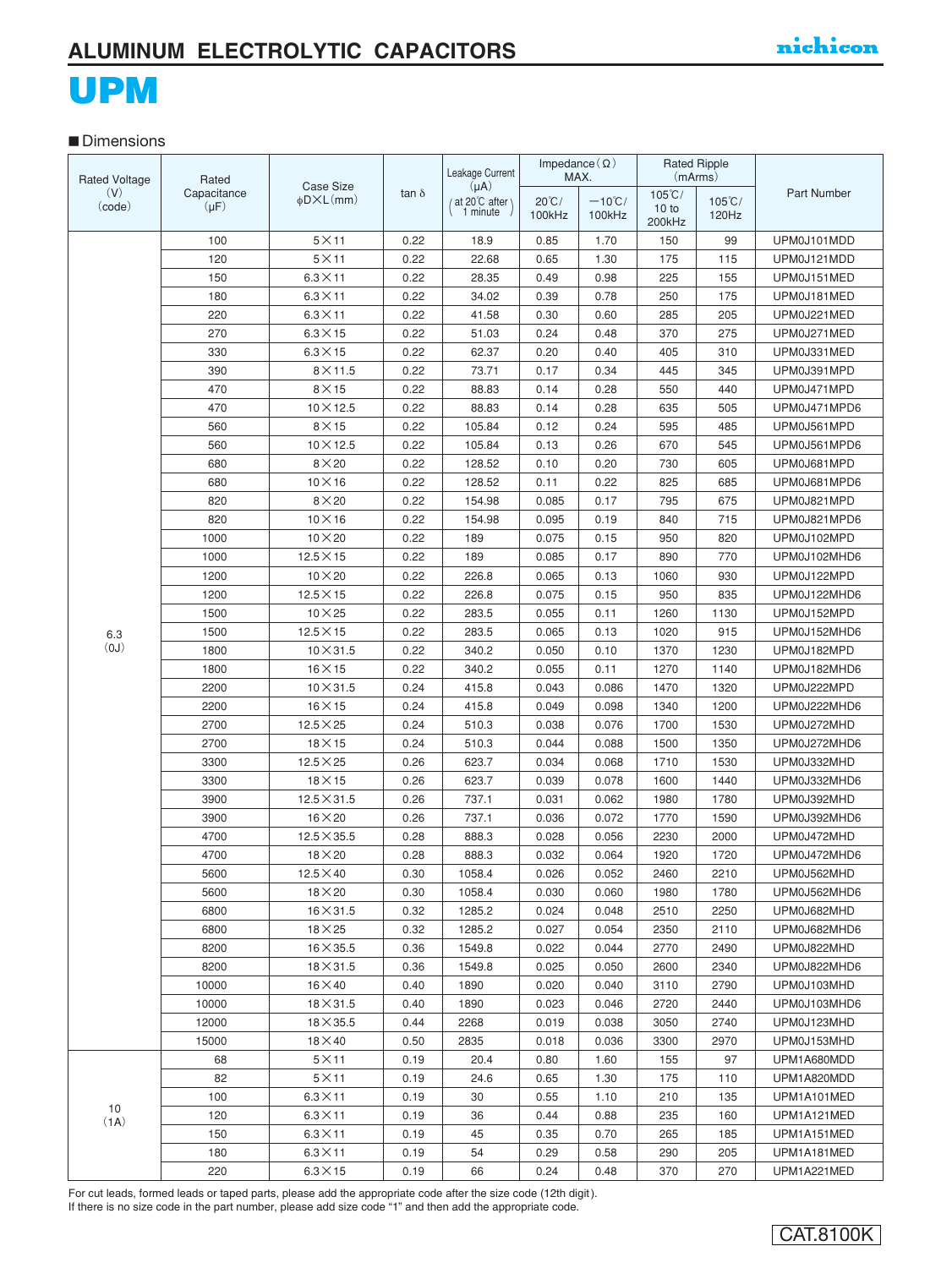### **■** Dimensions

| <b>Rated Voltage</b> | Rated       |                            |              | Leakage Current             | Impedance $(\Omega)$      | MAX.                       | (mArms) | <b>Rated Ripple</b>       |              |  |
|----------------------|-------------|----------------------------|--------------|-----------------------------|---------------------------|----------------------------|---------|---------------------------|--------------|--|
| (V)                  | Capacitance | <b>Case Size</b>           | tan $\delta$ | $(\mu A)$                   |                           |                            | 105°C/  |                           | Part Number  |  |
| (code)               | $(\mu F)$   | $\phi$ D $\times$ L $(mm)$ |              | (at 20°C after)<br>1 minute | $20^{\circ}$ C/<br>100kHz | $-10^{\circ}$ C/<br>100kHz | 10 to   | $105^{\circ}$ C/<br>120Hz |              |  |
|                      |             |                            |              |                             |                           |                            | 200kHz  |                           |              |  |
|                      | 100         | $5\times11$                | 0.22         | 18.9                        | 0.85                      | 1.70                       | 150     | 99                        | UPM0J101MDD  |  |
|                      | 120         | $5\times11$                | 0.22         | 22.68                       | 0.65                      | 1.30                       | 175     | 115                       | UPM0J121MDD  |  |
|                      | 150         | $6.3 \times 11$            | 0.22         | 28.35                       | 0.49                      | 0.98                       | 225     | 155                       | UPM0J151MED  |  |
|                      | 180         | $6.3 \times 11$            | 0.22         | 34.02                       | 0.39                      | 0.78                       | 250     | 175                       | UPM0J181MED  |  |
|                      | 220         | $6.3 \times 11$            | 0.22         | 41.58                       | 0.30                      | 0.60                       | 285     | 205                       | UPM0J221MED  |  |
|                      | 270         | $6.3\times15$              | 0.22         | 51.03                       | 0.24                      | 0.48                       | 370     | 275                       | UPM0J271MED  |  |
|                      | 330         | $6.3\times15$              | 0.22         | 62.37                       | 0.20                      | 0.40                       | 405     | 310                       | UPM0J331MED  |  |
|                      | 390         | $8\times11.5$              | 0.22         | 73.71                       | 0.17                      | 0.34                       | 445     | 345                       | UPM0J391MPD  |  |
|                      | 470         | $8\times15$                | 0.22         | 88.83                       | 0.14                      | 0.28                       | 550     | 440                       | UPM0J471MPD  |  |
|                      | 470         | $10 \times 12.5$           | 0.22         | 88.83                       | 0.14                      | 0.28                       | 635     | 505                       | UPM0J471MPD6 |  |
|                      | 560         | $8\times15$                | 0.22         | 105.84                      | 0.12                      | 0.24                       | 595     | 485                       | UPM0J561MPD  |  |
|                      | 560         | $10 \times 12.5$           | 0.22         | 105.84                      | 0.13                      | 0.26                       | 670     | 545                       | UPM0J561MPD6 |  |
|                      | 680         | $8\times20$                | 0.22         | 128.52                      | 0.10                      | 0.20                       | 730     | 605                       | UPM0J681MPD  |  |
|                      | 680         | $10\times16$               | 0.22         | 128.52                      | 0.11                      | 0.22                       | 825     | 685                       | UPM0J681MPD6 |  |
|                      | 820         | $8\times20$                | 0.22         | 154.98                      | 0.085                     | 0.17                       | 795     | 675                       | UPM0J821MPD  |  |
|                      | 820         | $10\times16$               | 0.22         | 154.98                      | 0.095                     | 0.19                       | 840     | 715                       | UPM0J821MPD6 |  |
|                      | 1000        | $10\times 20$              | 0.22         | 189                         | 0.075                     | 0.15                       | 950     | 820                       | UPM0J102MPD  |  |
|                      | 1000        | $12.5\times15$             | 0.22         | 189                         | 0.085                     | 0.17                       | 890     | 770                       | UPM0J102MHD6 |  |
|                      | 1200        | $10\times 20$              | 0.22         | 226.8                       | 0.065                     | 0.13                       | 1060    | 930                       | UPM0J122MPD  |  |
|                      | 1200        | $12.5 \times 15$           | 0.22         | 226.8                       | 0.075                     | 0.15                       | 950     | 835                       | UPM0J122MHD6 |  |
|                      | 1500        | $10\times25$               | 0.22         | 283.5                       | 0.055                     | 0.11                       | 1260    | 1130                      | UPM0J152MPD  |  |
| 6.3                  | 1500        | $12.5 \times 15$           | 0.22         | 283.5                       | 0.065                     | 0.13                       | 1020    | 915                       | UPM0J152MHD6 |  |
| (0J)                 | 1800        | $10\times31.5$             | 0.22         | 340.2                       | 0.050                     | 0.10                       | 1370    | 1230                      | UPM0J182MPD  |  |
|                      | 1800        | $16\times15$               | 0.22         | 340.2                       | 0.055                     | 0.11                       | 1270    | 1140                      | UPM0J182MHD6 |  |
|                      | 2200        | $10 \times 31.5$           | 0.24         | 415.8                       | 0.043                     | 0.086                      | 1470    | 1320                      | UPM0J222MPD  |  |
|                      | 2200        | $16\times15$               | 0.24         | 415.8                       | 0.049                     | 0.098                      | 1340    | 1200                      | UPM0J222MHD6 |  |
|                      | 2700        | $12.5 \times 25$           | 0.24         | 510.3                       | 0.038                     | 0.076                      | 1700    | 1530                      | UPM0J272MHD  |  |
|                      | 2700        | $18\times15$               | 0.24         | 510.3                       | 0.044                     | 0.088                      | 1500    | 1350                      | UPM0J272MHD6 |  |
|                      | 3300        | $12.5\times25$             | 0.26         | 623.7                       | 0.034                     | 0.068                      | 1710    | 1530                      | UPM0J332MHD  |  |
|                      | 3300        | $18\times15$               | 0.26         | 623.7                       | 0.039                     | 0.078                      | 1600    | 1440                      | UPM0J332MHD6 |  |
|                      | 3900        | $12.5 \times 31.5$         | 0.26         | 737.1                       | 0.031                     | 0.062                      | 1980    | 1780                      | UPM0J392MHD  |  |
|                      | 3900        | $16\times20$               | 0.26         | 737.1                       | 0.036                     | 0.072                      | 1770    | 1590                      | UPM0J392MHD6 |  |
|                      | 4700        | $12.5 \times 35.5$         | 0.28         | 888.3                       | 0.028                     | 0.056                      | 2230    | 2000                      | UPM0J472MHD  |  |
|                      | 4700        | $18\times20$               | 0.28         | 888.3                       | 0.032                     | 0.064                      | 1920    | 1720                      | UPM0J472MHD6 |  |
|                      | 5600        | $12.5 \times 40$           | 0.30         | 1058.4                      | 0.026                     | 0.052                      | 2460    | 2210                      | UPM0J562MHD  |  |
|                      | 5600        | $18\times20$               | 0.30         | 1058.4                      | 0.030                     | 0.060                      | 1980    | 1780                      | UPM0J562MHD6 |  |
|                      | 6800        | $16 \times 31.5$           | 0.32         | 1285.2                      | 0.024                     | 0.048                      | 2510    | 2250                      | UPM0J682MHD  |  |
|                      | 6800        | $18\times25$               | 0.32         | 1285.2                      | 0.027                     | 0.054                      | 2350    | 2110                      | UPM0J682MHD6 |  |
|                      | 8200        | $16 \times 35.5$           | 0.36         | 1549.8                      | 0.022                     | 0.044                      | 2770    | 2490                      | UPM0J822MHD  |  |
|                      | 8200        | $18 \times 31.5$           | 0.36         | 1549.8                      | 0.025                     | 0.050                      | 2600    | 2340                      | UPM0J822MHD6 |  |
|                      | 10000       | $16\times 40$              | 0.40         | 1890                        | 0.020                     | 0.040                      | 3110    | 2790                      | UPM0J103MHD  |  |
|                      | 10000       | $18 \times 31.5$           | 0.40         | 1890                        | 0.023                     | 0.046                      | 2720    | 2440                      | UPM0J103MHD6 |  |
|                      | 12000       | $18\times35.5$             | 0.44         | 2268                        | 0.019                     | 0.038                      | 3050    | 2740                      | UPM0J123MHD  |  |
|                      | 15000       | $18\times 40$              | 0.50         | 2835                        | 0.018                     | 0.036                      | 3300    | 2970                      | UPM0J153MHD  |  |
|                      | 68          | $5\times11$                | 0.19         | 20.4                        | 0.80                      | 1.60                       | 155     | 97                        | UPM1A680MDD  |  |
|                      | 82          | $5\times11$                | 0.19         | 24.6                        | 0.65                      | 1.30                       | 175     | 110                       | UPM1A820MDD  |  |
| 10                   | 100         | $6.3\times11$              | 0.19         | 30                          | 0.55                      | 1.10                       | 210     | 135                       | UPM1A101MED  |  |
| (1A)                 | 120         | $6.3\times11$              | 0.19         | 36                          | 0.44                      | 0.88                       | 235     | 160                       | UPM1A121MED  |  |
|                      | 150         | $6.3\times11$              | 0.19         | 45                          | 0.35                      | 0.70                       | 265     | 185                       | UPM1A151MED  |  |
|                      | 180         | $6.3\times11$              | 0.19         | 54                          | 0.29                      | 0.58                       | 290     | 205                       | UPM1A181MED  |  |
|                      | 220         | $6.3\times15$              | 0.19         | 66                          | 0.24                      | 0.48                       | 370     | 270                       | UPM1A221MED  |  |

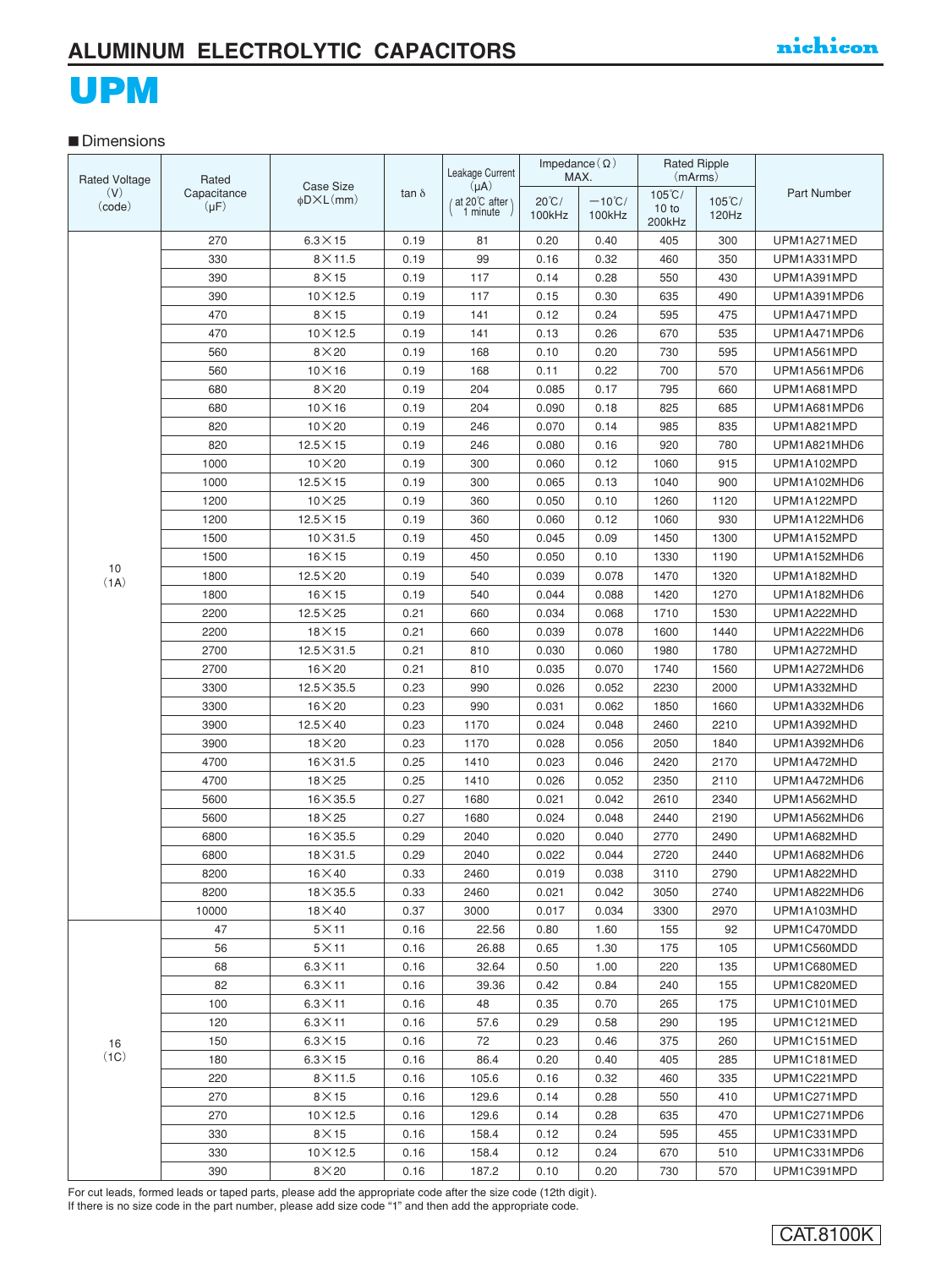#### **■** Dimensions

| <b>Rated Voltage</b><br>Rated |                          |                                         |              | Leakage Current            | Impedance $(\Omega)$ | MAX.             | <b>Rated Ripple</b><br>(mArms) |                  |              |  |
|-------------------------------|--------------------------|-----------------------------------------|--------------|----------------------------|----------------------|------------------|--------------------------------|------------------|--------------|--|
| (V)<br>(code)                 | Capacitance<br>$(\mu F)$ | Case Size<br>$\phi$ D $\times$ L $(mm)$ | $tan \delta$ | $(\mu A)$<br>at 20°C after | $20^{\circ}$ C/      | $-10^{\circ}$ C/ | $105^{\circ}$ C/               | $105^{\circ}$ C/ | Part Number  |  |
|                               |                          |                                         |              | , 1 minute,                | 100kHz               | 100kHz           | 10 to<br>200kHz                | 120Hz            |              |  |
|                               | 270                      | $6.3 \times 15$                         | 0.19         | 81                         | 0.20                 | 0.40             | 405                            | 300              | UPM1A271MED  |  |
|                               | 330                      | $8\times$ 11.5                          | 0.19         | 99                         | 0.16                 | 0.32             | 460                            | 350              | UPM1A331MPD  |  |
|                               | 390                      | $8\times15$                             | 0.19         | 117                        | 0.14                 | 0.28             | 550                            | 430              | UPM1A391MPD  |  |
|                               | 390                      | $10 \times 12.5$                        | 0.19         | 117                        | 0.15                 | 0.30             | 635                            | 490              | UPM1A391MPD6 |  |
|                               | 470                      | $8\times15$                             | 0.19         | 141                        | 0.12                 | 0.24             | 595                            | 475              | UPM1A471MPD  |  |
|                               | 470                      | $10 \times 12.5$                        | 0.19         | 141                        | 0.13                 | 0.26             | 670                            | 535              | UPM1A471MPD6 |  |
|                               | 560                      | $8\times20$                             | 0.19         | 168                        | 0.10                 | 0.20             | 730                            | 595              | UPM1A561MPD  |  |
|                               | 560                      | $10\times16$                            | 0.19         | 168                        | 0.11                 | 0.22             | 700                            | 570              | UPM1A561MPD6 |  |
|                               | 680                      | $8\times20$                             | 0.19         | 204                        | 0.085                | 0.17             | 795                            | 660              | UPM1A681MPD  |  |
|                               | 680                      | $10\times16$                            | 0.19         | 204                        | 0.090                | 0.18             | 825                            | 685              | UPM1A681MPD6 |  |
|                               | 820                      | $10\times20$                            | 0.19         | 246                        | 0.070                | 0.14             | 985                            | 835              | UPM1A821MPD  |  |
|                               | 820                      | $12.5 \times 15$                        | 0.19         | 246                        | 0.080                | 0.16             | 920                            | 780              | UPM1A821MHD6 |  |
|                               | 1000                     | $10\times 20$                           | 0.19         | 300                        | 0.060                | 0.12             | 1060                           | 915              | UPM1A102MPD  |  |
|                               | 1000                     | $12.5 \times 15$                        | 0.19         | 300                        | 0.065                | 0.13             | 1040                           | 900              | UPM1A102MHD6 |  |
|                               | 1200                     | $10\times25$                            | 0.19         | 360                        | 0.050                | 0.10             | 1260                           | 1120             | UPM1A122MPD  |  |
|                               | 1200                     | $12.5\times15$                          | 0.19         | 360                        | 0.060                | 0.12             | 1060                           | 930              | UPM1A122MHD6 |  |
|                               | 1500                     | $10\times31.5$                          | 0.19         | 450                        | 0.045                | 0.09             | 1450                           | 1300             | UPM1A152MPD  |  |
|                               | 1500                     | $16\times15$                            | 0.19         | 450                        | 0.050                | 0.10             | 1330                           | 1190             | UPM1A152MHD6 |  |
| 10<br>(1A)                    | 1800                     | $12.5 \times 20$                        | 0.19         | 540                        | 0.039                | 0.078            | 1470                           | 1320             | UPM1A182MHD  |  |
|                               | 1800                     | $16\times15$                            | 0.19         | 540                        | 0.044                | 0.088            | 1420                           | 1270             | UPM1A182MHD6 |  |
|                               | 2200                     | $12.5 \times 25$                        | 0.21         | 660                        | 0.034                | 0.068            | 1710                           | 1530             | UPM1A222MHD  |  |
|                               | 2200                     | $18\times15$                            | 0.21         | 660                        | 0.039                | 0.078            | 1600                           | 1440             | UPM1A222MHD6 |  |
|                               | 2700                     | $12.5 \times 31.5$                      | 0.21         | 810                        | 0.030                | 0.060            | 1980                           | 1780             | UPM1A272MHD  |  |
|                               | 2700                     | $16\times20$                            | 0.21         | 810                        | 0.035                | 0.070            | 1740                           | 1560             | UPM1A272MHD6 |  |
|                               | 3300                     | $12.5 \times 35.5$                      | 0.23         | 990                        | 0.026                | 0.052            | 2230                           | 2000             | UPM1A332MHD  |  |
|                               | 3300                     | $16\times20$                            | 0.23         | 990                        | 0.031                | 0.062            | 1850                           | 1660             | UPM1A332MHD6 |  |
|                               | 3900                     | $12.5 \times 40$                        | 0.23         | 1170                       | 0.024                | 0.048            | 2460                           | 2210             | UPM1A392MHD  |  |
|                               | 3900                     | $18\times20$                            | 0.23         | 1170                       | 0.028                | 0.056            | 2050                           | 1840             | UPM1A392MHD6 |  |
|                               | 4700                     | $16 \times 31.5$                        | 0.25         | 1410                       | 0.023                | 0.046            | 2420                           | 2170             | UPM1A472MHD  |  |
|                               | 4700                     | $18\times25$                            | 0.25         | 1410                       | 0.026                | 0.052            | 2350                           | 2110             | UPM1A472MHD6 |  |
|                               | 5600                     | $16 \times 35.5$                        | 0.27         | 1680                       | 0.021                | 0.042            | 2610                           | 2340             | UPM1A562MHD  |  |
|                               | 5600                     | $18\times25$                            | 0.27         | 1680                       | 0.024                | 0.048            | 2440                           | 2190             | UPM1A562MHD6 |  |
|                               | 6800                     | $16\times35.5$                          | 0.29         | 2040                       | 0.020                | 0.040            | 2770                           | 2490             | UPM1A682MHD  |  |
|                               | 6800                     | $18\times31.5$                          | 0.29         | 2040                       | 0.022                | 0.044            | 2720                           | 2440             | UPM1A682MHD6 |  |
|                               | 8200                     | $16\times40$                            | 0.33         | 2460                       | 0.019                | 0.038            | 3110                           | 2790             | UPM1A822MHD  |  |
|                               | 8200                     | $18\times35.5$                          | 0.33         | 2460                       | 0.021                | 0.042            | 3050                           | 2740             | UPM1A822MHD6 |  |
|                               | 10000                    | $18\times 40$                           | 0.37         | 3000                       | 0.017                | 0.034            | 3300                           | 2970             | UPM1A103MHD  |  |
|                               | 47                       | $5\times11$                             | 0.16         | 22.56                      | 0.80                 | 1.60             | 155                            | 92               | UPM1C470MDD  |  |
|                               | 56                       | $5\times11$                             | 0.16         | 26.88                      | 0.65                 | 1.30             | 175                            | 105              | UPM1C560MDD  |  |
|                               | 68                       | $6.3\times11$                           | 0.16         | 32.64                      | 0.50                 | 1.00             | 220                            | 135              | UPM1C680MED  |  |
|                               | 82                       | $6.3\times11$                           | 0.16         | 39.36                      | 0.42                 | 0.84             | 240                            | 155              | UPM1C820MED  |  |
|                               | 100                      | $6.3\times11$                           | 0.16         | 48                         | 0.35                 | 0.70             | 265                            | 175              | UPM1C101MED  |  |
|                               | 120                      | $6.3\times11$                           | 0.16         | 57.6                       | 0.29                 | 0.58             | 290                            | 195              | UPM1C121MED  |  |
| 16                            | 150                      | $6.3\times15$                           | 0.16         | 72                         | 0.23                 | 0.46             | 375                            | 260              | UPM1C151MED  |  |
| (1C)                          | 180                      | $6.3\times15$                           | 0.16         | 86.4                       | 0.20                 | 0.40             | 405                            | 285              | UPM1C181MED  |  |
|                               | 220                      | $8\times$ 11.5                          | 0.16         | 105.6                      | 0.16                 | 0.32             | 460                            | 335              | UPM1C221MPD  |  |
|                               | 270                      | $8\times15$                             | 0.16         | 129.6                      | 0.14                 | 0.28             | 550                            | 410              | UPM1C271MPD  |  |
|                               | 270                      | $10\times12.5$                          | 0.16         | 129.6                      | 0.14                 | 0.28             | 635                            | 470              | UPM1C271MPD6 |  |
|                               | 330                      | $8\times15$                             | 0.16         | 158.4                      | 0.12                 | 0.24             | 595                            | 455              | UPM1C331MPD  |  |
|                               | 330                      | $10\times12.5$                          | 0.16         | 158.4                      | 0.12                 | 0.24             | 670                            | 510              | UPM1C331MPD6 |  |
|                               | 390                      | $8\times20$                             | 0.16         | 187.2                      | 0.10                 | 0.20             | 730                            | 570              | UPM1C391MPD  |  |

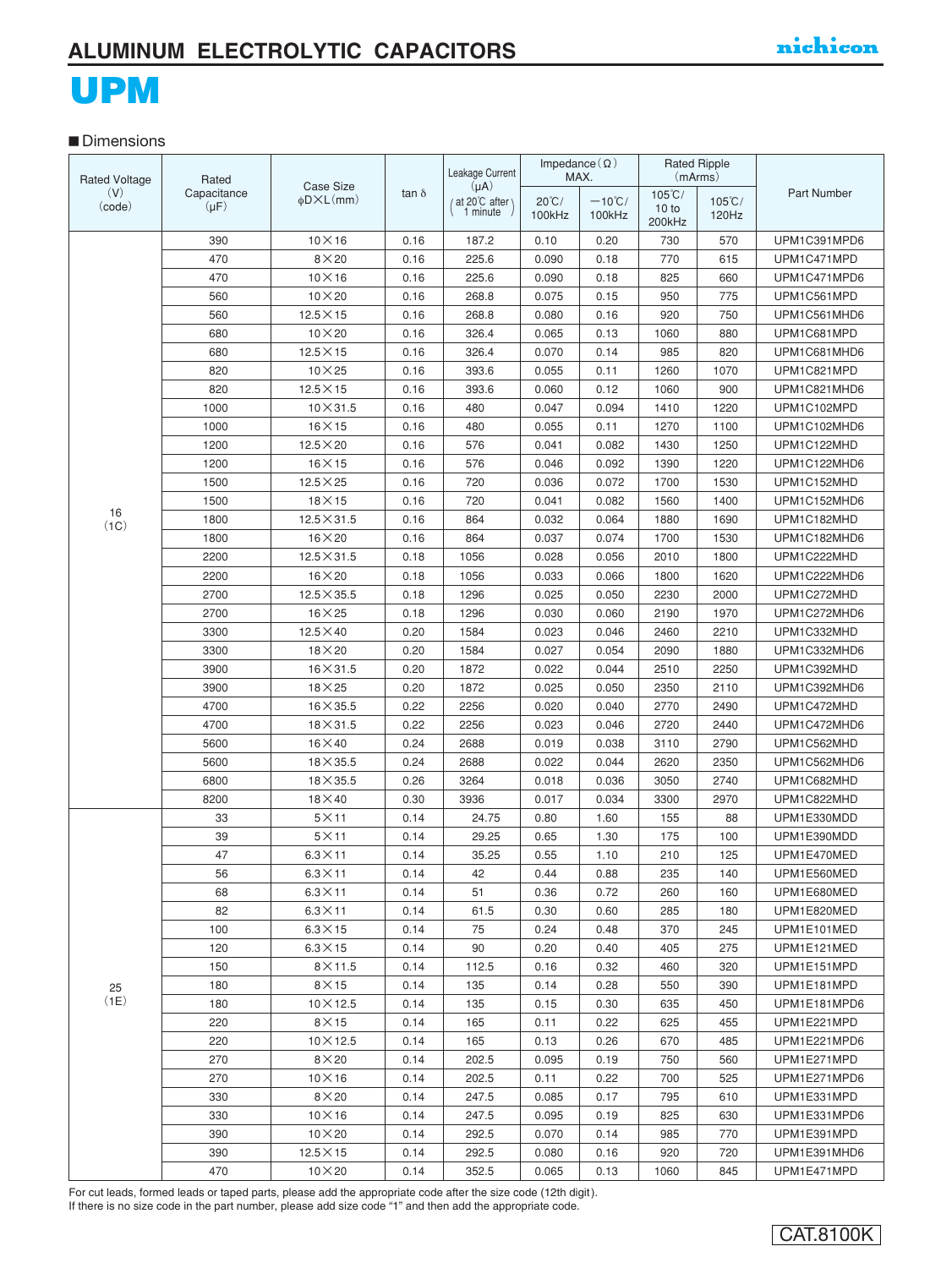## UPM

#### **■** Dimensions

| <b>Rated Voltage</b> | Rated       |                                         |              | Leakage Current            | Impedance $(\Omega)$ | MAX.             |                  | <b>Rated Ripple</b><br>(mArms) |              |
|----------------------|-------------|-----------------------------------------|--------------|----------------------------|----------------------|------------------|------------------|--------------------------------|--------------|
| (V)                  | Capacitance | Case Size<br>$\phi$ D $\times$ L $(mm)$ | tan $\delta$ | $(\mu A)$<br>at 20°C after | $20^{\circ}$ C/      | $-10^{\circ}$ C/ | $105^{\circ}$ C/ | $105^{\circ}$ C/               | Part Number  |
| (code)               | $(\mu F)$   |                                         |              | 1 minute                   | 100kHz               | 100kHz           | 10 to<br>200kHz  | 120Hz                          |              |
|                      | 390         | $10\times16$                            | 0.16         | 187.2                      | 0.10                 | 0.20             | 730              | 570                            | UPM1C391MPD6 |
|                      | 470         | $8\times20$                             | 0.16         | 225.6                      | 0.090                | 0.18             | 770              | 615                            | UPM1C471MPD  |
|                      | 470         | $10\times16$                            | 0.16         | 225.6                      | 0.090                | 0.18             | 825              | 660                            | UPM1C471MPD6 |
|                      | 560         | $10\times20$                            | 0.16         | 268.8                      | 0.075                | 0.15             | 950              | 775                            | UPM1C561MPD  |
|                      | 560         | $12.5 \times 15$                        | 0.16         | 268.8                      | 0.080                | 0.16             | 920              | 750                            | UPM1C561MHD6 |
|                      | 680         | $10\times 20$                           | 0.16         | 326.4                      | 0.065                | 0.13             | 1060             | 880                            | UPM1C681MPD  |
|                      | 680         | $12.5\times15$                          | 0.16         | 326.4                      | 0.070                | 0.14             | 985              | 820                            | UPM1C681MHD6 |
|                      | 820         | $10\times25$                            | 0.16         | 393.6                      | 0.055                | 0.11             | 1260             | 1070                           | UPM1C821MPD  |
|                      | 820         | $12.5 \times 15$                        | 0.16         | 393.6                      | 0.060                | 0.12             | 1060             | 900                            | UPM1C821MHD6 |
|                      | 1000        | $10\times31.5$                          | 0.16         | 480                        | 0.047                | 0.094            | 1410             | 1220                           | UPM1C102MPD  |
|                      | 1000        | $16\times15$                            | 0.16         | 480                        | 0.055                | 0.11             | 1270             | 1100                           | UPM1C102MHD6 |
|                      | 1200        | $12.5\times20$                          | 0.16         | 576                        | 0.041                | 0.082            | 1430             | 1250                           | UPM1C122MHD  |
|                      | 1200        | $16\times15$                            | 0.16         | 576                        | 0.046                | 0.092            | 1390             | 1220                           | UPM1C122MHD6 |
|                      | 1500        | $12.5 \times 25$                        | 0.16         | 720                        | 0.036                | 0.072            | 1700             | 1530                           | UPM1C152MHD  |
|                      | 1500        | $18\times15$                            | 0.16         | 720                        | 0.041                | 0.082            | 1560             | 1400                           | UPM1C152MHD6 |
| 16                   | 1800        | $12.5 \times 31.5$                      | 0.16         | 864                        | 0.032                | 0.064            | 1880             | 1690                           | UPM1C182MHD  |
| (1C)                 | 1800        | $16\times20$                            | 0.16         | 864                        | 0.037                | 0.074            | 1700             | 1530                           | UPM1C182MHD6 |
|                      | 2200        | $12.5 \times 31.5$                      | 0.18         | 1056                       | 0.028                | 0.056            | 2010             | 1800                           | UPM1C222MHD  |
|                      | 2200        | $16\times20$                            | 0.18         | 1056                       | 0.033                | 0.066            | 1800             | 1620                           | UPM1C222MHD6 |
|                      | 2700        | $12.5 \times 35.5$                      | 0.18         | 1296                       | 0.025                | 0.050            | 2230             | 2000                           | UPM1C272MHD  |
|                      | 2700        | $16\times25$                            | 0.18         | 1296                       | 0.030                | 0.060            | 2190             | 1970                           | UPM1C272MHD6 |
|                      | 3300        | $12.5 \times 40$                        | 0.20         | 1584                       | 0.023                | 0.046            | 2460             | 2210                           | UPM1C332MHD  |
|                      | 3300        | $18\times20$                            | 0.20         | 1584                       | 0.027                | 0.054            | 2090             | 1880                           | UPM1C332MHD6 |
|                      | 3900        | $16 \times 31.5$                        | 0.20         | 1872                       | 0.022                | 0.044            | 2510             | 2250                           | UPM1C392MHD  |
|                      | 3900        | $18\times25$                            | 0.20         | 1872                       | 0.025                | 0.050            | 2350             | 2110                           | UPM1C392MHD6 |
|                      | 4700        | $16\times35.5$                          | 0.22         | 2256                       | 0.020                | 0.040            | 2770             | 2490                           | UPM1C472MHD  |
|                      | 4700        | $18\times31.5$                          | 0.22         | 2256                       | 0.023                | 0.046            | 2720             | 2440                           | UPM1C472MHD6 |
|                      | 5600        | $16\times 40$                           | 0.24         | 2688                       | 0.019                | 0.038            | 3110             | 2790                           | UPM1C562MHD  |
|                      | 5600        | $18\times35.5$                          | 0.24         | 2688                       | 0.022                | 0.044            | 2620             | 2350                           | UPM1C562MHD6 |
|                      | 6800        | $18\times35.5$                          | 0.26         | 3264                       | 0.018                | 0.036            | 3050             | 2740                           | UPM1C682MHD  |
|                      | 8200        | $18\times 40$                           | 0.30         | 3936                       | 0.017                | 0.034            | 3300             | 2970                           | UPM1C822MHD  |
|                      | 33          | $5\times11$                             | 0.14         | 24.75                      | 0.80                 | 1.60             | 155              | 88                             | UPM1E330MDD  |
|                      | 39          | $5\times11$                             | 0.14         | 29.25                      | 0.65                 | 1.30             | 175              | 100                            | UPM1E390MDD  |
|                      | 47          | $6.3 \times 11$                         | 0.14         | 35.25                      | 0.55                 | 1.10             | 210              | 125                            | UPM1E470MED  |
|                      | 56          | $6.3 \times 11$                         | 0.14         | 42                         | 0.44                 | 0.88             | 235              | 140                            | UPM1E560MED  |
|                      | 68          | $6.3\times11$                           | 0.14         | 51                         | 0.36                 | 0.72             | 260              | 160                            | UPM1E680MED  |
|                      | 82          | $6.3\times11$                           | 0.14         | 61.5                       | 0.30                 | 0.60             | 285              | 180                            | UPM1E820MED  |
|                      | 100         | $6.3\times15$                           | 0.14         | 75                         | 0.24                 | 0.48             | 370              | 245                            | UPM1E101MED  |
|                      | 120         | $6.3\times15$                           | 0.14         | 90                         | 0.20                 | 0.40             | 405              | 275                            | UPM1E121MED  |
|                      | 150         | $8\times$ 11.5                          | 0.14         | 112.5                      | 0.16                 | 0.32             | 460              | 320                            | UPM1E151MPD  |
| 25                   | 180         | $8\times15$                             | 0.14         | 135                        | 0.14                 | 0.28             | 550              | 390                            | UPM1E181MPD  |
| (1E)                 | 180         | $10\times12.5$                          | 0.14         | 135                        | 0.15                 | 0.30             | 635              | 450                            | UPM1E181MPD6 |
|                      | 220         | $8\times15$                             | 0.14         | 165                        | 0.11                 | 0.22             | 625              | 455                            | UPM1E221MPD  |
|                      | 220         | $10\times12.5$                          | 0.14         | 165                        | 0.13                 | 0.26             | 670              | 485                            | UPM1E221MPD6 |
|                      | 270         | $8\times20$                             | 0.14         | 202.5                      | 0.095                | 0.19             | 750              | 560                            | UPM1E271MPD  |
|                      | 270         | $10\times16$                            | 0.14         | 202.5                      | 0.11                 | 0.22             | 700              | 525                            | UPM1E271MPD6 |
|                      | 330         | $8\times20$                             | 0.14         | 247.5                      | 0.085                | 0.17             | 795              | 610                            | UPM1E331MPD  |
|                      | 330         | $10\times16$                            | 0.14         | 247.5                      | 0.095                | 0.19             | 825              | 630                            | UPM1E331MPD6 |
|                      | 390         | $10\times 20$                           | 0.14         | 292.5                      | 0.070                | 0.14             | 985              | 770                            | UPM1E391MPD  |
|                      | 390         | $12.5 \times 15$                        | 0.14         | 292.5                      | 0.080                | 0.16             | 920              | 720                            | UPM1E391MHD6 |
|                      | 470         | $10\times 20$                           | 0.14         | 352.5                      | 0.065                | 0.13             | 1060             | 845                            | UPM1E471MPD  |

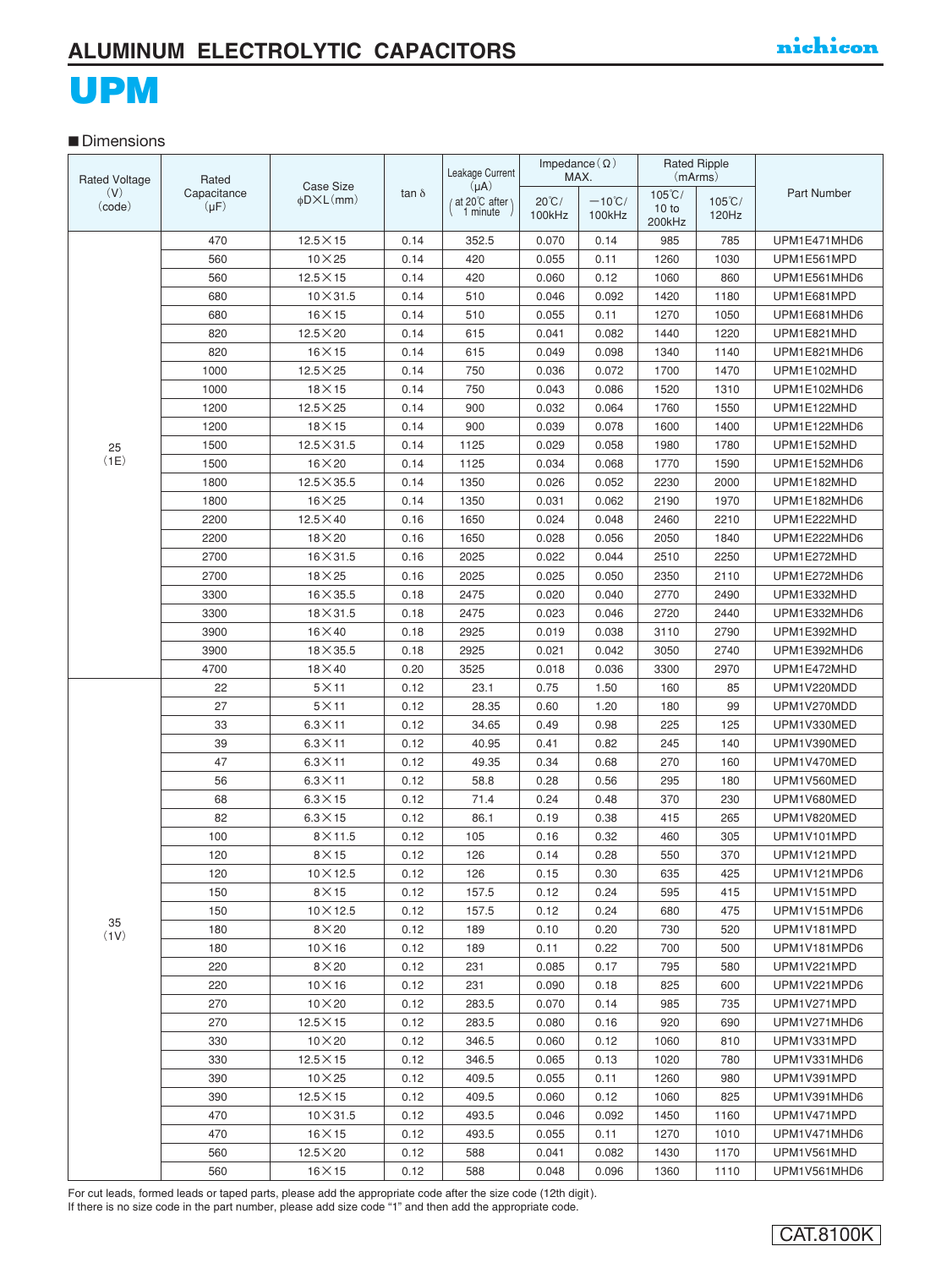# UPM

#### **■** Dimensions

| <b>Rated Voltage</b> | Rated                    |                                                |              | Leakage Current                            |                           | Impedance $(\Omega)$<br>MAX. |                           | <b>Rated Ripple</b><br>(mArms) |              |
|----------------------|--------------------------|------------------------------------------------|--------------|--------------------------------------------|---------------------------|------------------------------|---------------------------|--------------------------------|--------------|
| (V)<br>(code)        | Capacitance<br>$(\mu F)$ | <b>Case Size</b><br>$\phi$ D $\times$ L $(mm)$ | tan $\delta$ | $(\mu A)$<br>/ at 20°C after \<br>1 minute | $20^{\circ}$ C/<br>100kHz | $-10^{\circ}$ C/<br>100kHz   | $105^{\circ}$ C/<br>10 to | $105^{\circ}$ C/<br>120Hz      | Part Number  |
|                      |                          |                                                |              |                                            |                           |                              | 200kHz                    |                                |              |
|                      | 470                      | $12.5 \times 15$                               | 0.14         | 352.5                                      | 0.070                     | 0.14                         | 985                       | 785                            | UPM1E471MHD6 |
|                      | 560                      | $10\times25$                                   | 0.14         | 420                                        | 0.055                     | 0.11                         | 1260                      | 1030                           | UPM1E561MPD  |
|                      | 560                      | $12.5 \times 15$                               | 0.14         | 420                                        | 0.060                     | 0.12                         | 1060                      | 860                            | UPM1E561MHD6 |
|                      | 680                      | $10\times31.5$                                 | 0.14         | 510                                        | 0.046                     | 0.092                        | 1420                      | 1180                           | UPM1E681MPD  |
|                      | 680                      | $16\times15$                                   | 0.14         | 510                                        | 0.055                     | 0.11                         | 1270                      | 1050                           | UPM1E681MHD6 |
|                      | 820                      | $12.5 \times 20$                               | 0.14         | 615                                        | 0.041                     | 0.082                        | 1440                      | 1220                           | UPM1E821MHD  |
|                      | 820                      | $16\times15$                                   | 0.14         | 615                                        | 0.049                     | 0.098                        | 1340                      | 1140                           | UPM1E821MHD6 |
|                      | 1000                     | $12.5\times 25$                                | 0.14         | 750                                        | 0.036                     | 0.072                        | 1700                      | 1470                           | UPM1E102MHD  |
|                      | 1000                     | $18\times15$                                   | 0.14         | 750                                        | 0.043                     | 0.086                        | 1520                      | 1310                           | UPM1E102MHD6 |
|                      | 1200                     | $12.5\times 25$                                | 0.14         | 900                                        | 0.032                     | 0.064                        | 1760                      | 1550                           | UPM1E122MHD  |
|                      | 1200                     | $18\times15$                                   | 0.14         | 900                                        | 0.039                     | 0.078                        | 1600                      | 1400                           | UPM1E122MHD6 |
| 25                   | 1500                     | $12.5 \times 31.5$                             | 0.14         | 1125                                       | 0.029                     | 0.058                        | 1980                      | 1780                           | UPM1E152MHD  |
| (1E)                 | 1500                     | $16\times20$                                   | 0.14         | 1125                                       | 0.034                     | 0.068                        | 1770                      | 1590                           | UPM1E152MHD6 |
|                      | 1800                     | $12.5 \times 35.5$                             | 0.14         | 1350                                       | 0.026                     | 0.052                        | 2230                      | 2000                           | UPM1E182MHD  |
|                      | 1800                     | $16\times25$                                   | 0.14         | 1350                                       | 0.031                     | 0.062                        | 2190                      | 1970                           | UPM1E182MHD6 |
|                      | 2200                     | $12.5 \times 40$                               | 0.16         | 1650                                       | 0.024                     | 0.048                        | 2460                      | 2210                           | UPM1E222MHD  |
|                      | 2200                     | $18\times20$                                   | 0.16         | 1650                                       | 0.028                     | 0.056                        | 2050                      | 1840                           | UPM1E222MHD6 |
|                      | 2700                     | $16\times31.5$                                 | 0.16         | 2025                                       | 0.022                     | 0.044                        | 2510                      | 2250                           | UPM1E272MHD  |
|                      | 2700                     | $18\times 25$                                  | 0.16         | 2025                                       | 0.025                     | 0.050                        | 2350                      | 2110                           | UPM1E272MHD6 |
|                      | 3300                     | $16\times35.5$                                 | 0.18         | 2475                                       | 0.020                     | 0.040                        | 2770                      | 2490                           | UPM1E332MHD  |
|                      | 3300                     | $18\times31.5$                                 | 0.18         | 2475                                       | 0.023                     | 0.046                        | 2720                      | 2440                           | UPM1E332MHD6 |
|                      | 3900                     | $16\times 40$                                  | 0.18         | 2925                                       | 0.019                     | 0.038                        | 3110                      | 2790                           | UPM1E392MHD  |
|                      | 3900                     | $18\times35.5$                                 | 0.18         | 2925                                       | 0.021                     | 0.042                        | 3050                      | 2740                           | UPM1E392MHD6 |
|                      | 4700                     | $18\times 40$                                  | 0.20         | 3525                                       | 0.018                     | 0.036                        | 3300                      | 2970                           | UPM1E472MHD  |
|                      | 22                       | $5\times11$                                    | 0.12         | 23.1                                       | 0.75                      | 1.50                         | 160                       | 85                             | UPM1V220MDD  |
|                      | 27                       | $5\times11$                                    | 0.12         | 28.35                                      | 0.60                      | 1.20                         | 180                       | 99                             | UPM1V270MDD  |
|                      | 33                       | $6.3 \times 11$                                | 0.12         | 34.65                                      | 0.49                      | 0.98                         | 225                       | 125                            | UPM1V330MED  |
|                      | 39                       | $6.3\times11$                                  | 0.12         | 40.95                                      | 0.41                      | 0.82                         | 245                       | 140                            | UPM1V390MED  |
|                      | 47                       | $6.3 \times 11$                                | 0.12         | 49.35                                      | 0.34                      | 0.68                         | 270                       | 160                            | UPM1V470MED  |
|                      | 56                       | $6.3\times11$                                  | 0.12         | 58.8                                       | 0.28                      | 0.56                         | 295                       | 180                            | UPM1V560MED  |
|                      | 68                       | $6.3\times15$                                  | 0.12         | 71.4                                       | 0.24                      | 0.48                         | 370                       | 230                            | UPM1V680MED  |
|                      | 82                       | $6.3\times15$                                  | 0.12         | 86.1                                       | 0.19                      | 0.38                         | 415                       | 265                            | UPM1V820MED  |
|                      | 100                      | $8\times$ 11.5                                 | 0.12         | 105                                        | 0.16                      | 0.32                         | 460                       | 305                            | UPM1V101MPD  |
|                      | 120                      | $8\times15$                                    | 0.12         | 126                                        | 0.14                      | 0.28                         | 550                       | 370                            | UPM1V121MPD  |
|                      | 120                      | $10\times12.5$                                 | 0.12         | 126                                        | 0.15                      | 0.30                         | 635                       | 425                            | UPM1V121MPD6 |
|                      | 150                      | $8\times15$                                    | 0.12         | 157.5                                      | 0.12                      | 0.24                         | 595                       | 415                            | UPM1V151MPD  |
|                      | 150                      | $10\times12.5$                                 | 0.12         | 157.5                                      | 0.12                      | 0.24                         | 680                       | 475                            | UPM1V151MPD6 |
| 35<br>(1V)           | 180                      | $8\times20$                                    | 0.12         | 189                                        | 0.10                      | 0.20                         | 730                       | 520                            | UPM1V181MPD  |
|                      | 180                      | $10\times16$                                   | 0.12         | 189                                        | 0.11                      | 0.22                         | 700                       | 500                            | UPM1V181MPD6 |
|                      | 220                      | $8\times20$                                    | 0.12         | 231                                        | 0.085                     | 0.17                         | 795                       | 580                            | UPM1V221MPD  |
|                      | 220                      | $10\times16$                                   | 0.12         | 231                                        | 0.090                     | 0.18                         | 825                       | 600                            | UPM1V221MPD6 |
|                      | 270                      | $10\times20$                                   | 0.12         | 283.5                                      | 0.070                     | 0.14                         | 985                       | 735                            | UPM1V271MPD  |
|                      | 270                      | $12.5 \times 15$                               | 0.12         | 283.5                                      | 0.080                     | 0.16                         | 920                       | 690                            | UPM1V271MHD6 |
|                      | 330                      | $10\times 20$                                  | 0.12         | 346.5                                      | 0.060                     | 0.12                         | 1060                      | 810                            | UPM1V331MPD  |
|                      | 330                      | $12.5 \times 15$                               | 0.12         | 346.5                                      | 0.065                     | 0.13                         | 1020                      | 780                            | UPM1V331MHD6 |
|                      | 390                      | $10\times25$                                   | 0.12         | 409.5                                      | 0.055                     | 0.11                         | 1260                      | 980                            | UPM1V391MPD  |
|                      | 390                      | $12.5 \times 15$                               | 0.12         | 409.5                                      | 0.060                     | 0.12                         | 1060                      | 825                            | UPM1V391MHD6 |
|                      | 470                      | $10\times31.5$                                 | 0.12         | 493.5                                      | 0.046                     | 0.092                        | 1450                      | 1160                           | UPM1V471MPD  |
|                      | 470                      | $16\times 15$                                  | 0.12         | 493.5                                      | 0.055                     | 0.11                         | 1270                      | 1010                           | UPM1V471MHD6 |
|                      | 560                      | $12.5\times20$                                 | 0.12         | 588                                        | 0.041                     | 0.082                        | 1430                      | 1170                           | UPM1V561MHD  |
|                      | 560                      | $16\times15$                                   | 0.12         | 588                                        | 0.048                     | 0.096                        | 1360                      | 1110                           | UPM1V561MHD6 |

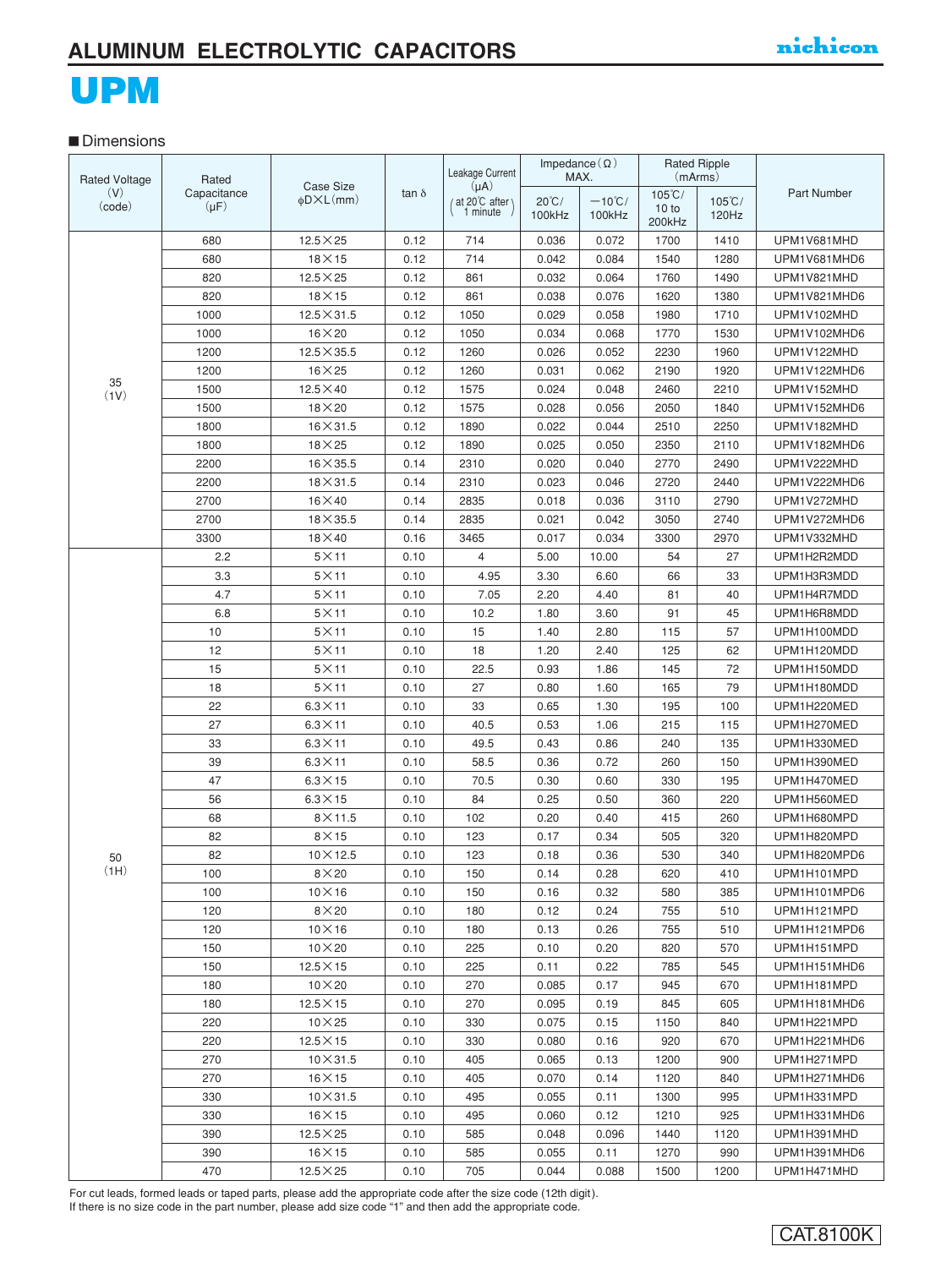### **■** Dimensions

| <b>Rated Voltage</b> | Rated       |                            |              | Leakage Current             | Impedance $(\Omega)$      | MAX.                       | (mArms)          | <b>Rated Ripple</b>       |              |
|----------------------|-------------|----------------------------|--------------|-----------------------------|---------------------------|----------------------------|------------------|---------------------------|--------------|
| (V)                  | Capacitance | Case Size                  | tan $\delta$ | $(\mu A)$                   |                           |                            | $105^{\circ}$ C/ |                           | Part Number  |
| (code)               | $(\mu F)$   | $\phi$ D $\times$ L $(mm)$ |              | / at 20°C after<br>1 minute | $20^{\circ}$ C/<br>100kHz | $-10^{\circ}$ C/<br>100kHz | 10 to            | $105^{\circ}$ C/<br>120Hz |              |
|                      |             |                            |              |                             |                           |                            | 200kHz           |                           |              |
|                      | 680         | $12.5 \times 25$           | 0.12         | 714                         | 0.036                     | 0.072                      | 1700             | 1410                      | UPM1V681MHD  |
|                      | 680         | $18\times15$               | 0.12         | 714                         | 0.042                     | 0.084                      | 1540             | 1280                      | UPM1V681MHD6 |
|                      | 820         | $12.5 \times 25$           | 0.12         | 861                         | 0.032                     | 0.064                      | 1760             | 1490                      | UPM1V821MHD  |
|                      | 820         | $18\times15$               | 0.12         | 861                         | 0.038                     | 0.076                      | 1620             | 1380                      | UPM1V821MHD6 |
|                      | 1000        | $12.5 \times 31.5$         | 0.12         | 1050                        | 0.029                     | 0.058                      | 1980             | 1710                      | UPM1V102MHD  |
|                      | 1000        | $16\times20$               | 0.12         | 1050                        | 0.034                     | 0.068                      | 1770             | 1530                      | UPM1V102MHD6 |
|                      | 1200        | $12.5 \times 35.5$         | 0.12         | 1260                        | 0.026                     | 0.052                      | 2230             | 1960                      | UPM1V122MHD  |
| 35                   | 1200        | $16\times25$               | 0.12         | 1260                        | 0.031                     | 0.062                      | 2190             | 1920                      | UPM1V122MHD6 |
| (1V)                 | 1500        | $12.5 \times 40$           | 0.12         | 1575                        | 0.024                     | 0.048                      | 2460             | 2210                      | UPM1V152MHD  |
|                      | 1500        | $18\times20$               | 0.12         | 1575                        | 0.028                     | 0.056                      | 2050             | 1840                      | UPM1V152MHD6 |
|                      | 1800        | $16 \times 31.5$           | 0.12         | 1890                        | 0.022                     | 0.044                      | 2510             | 2250                      | UPM1V182MHD  |
|                      | 1800        | $18\times25$               | 0.12         | 1890                        | 0.025                     | 0.050                      | 2350             | 2110                      | UPM1V182MHD6 |
|                      | 2200        | $16\times35.5$             | 0.14         | 2310                        | 0.020                     | 0.040                      | 2770             | 2490                      | UPM1V222MHD  |
|                      | 2200        | $18 \times 31.5$           | 0.14         | 2310                        | 0.023                     | 0.046                      | 2720             | 2440                      | UPM1V222MHD6 |
|                      | 2700        | $16\times 40$              | 0.14         | 2835                        | 0.018                     | 0.036                      | 3110             | 2790                      | UPM1V272MHD  |
|                      | 2700        | $18\times35.5$             | 0.14         | 2835                        | 0.021                     | 0.042                      | 3050             | 2740                      | UPM1V272MHD6 |
|                      | 3300        | $18\times 40$              | 0.16         | 3465                        | 0.017                     | 0.034                      | 3300             | 2970                      | UPM1V332MHD  |
|                      | 2.2         | $5\times11$                | 0.10         | $\overline{4}$              | 5.00                      | 10.00                      | 54               | 27                        | UPM1H2R2MDD  |
|                      | 3.3         | $5\times11$                | 0.10         | 4.95                        | 3.30                      | 6.60                       | 66               | 33                        | UPM1H3R3MDD  |
|                      | 4.7         | $5\times11$                | 0.10         | 7.05                        | 2.20                      | 4.40                       | 81               | 40                        | UPM1H4R7MDD  |
|                      | 6.8         | $5\times11$                | 0.10         | 10.2                        | 1.80                      | 3.60                       | 91               | 45                        | UPM1H6R8MDD  |
|                      | 10          | $5\times11$                | 0.10         | 15                          | 1.40                      | 2.80                       | 115              | 57                        | UPM1H100MDD  |
|                      | 12          | $5\times11$                | 0.10         | 18                          | 1.20                      | 2.40                       | 125              | 62                        | UPM1H120MDD  |
|                      | 15          | $5\times11$                | 0.10         | 22.5                        | 0.93                      | 1.86                       | 145              | 72                        | UPM1H150MDD  |
|                      | 18          | $5\times11$                | 0.10         | 27                          | 0.80                      | 1.60                       | 165              | 79                        | UPM1H180MDD  |
|                      | 22          | $6.3 \times 11$            | 0.10         | 33                          | 0.65                      | 1.30                       | 195              | 100                       | UPM1H220MED  |
|                      | 27          | $6.3 \times 11$            | 0.10         | 40.5                        | 0.53                      | 1.06                       | 215              | 115                       | UPM1H270MED  |
|                      | 33          | $6.3 \times 11$            | 0.10         | 49.5                        | 0.43                      | 0.86                       | 240              | 135                       | UPM1H330MED  |
|                      | 39          | $6.3 \times 11$            | 0.10         | 58.5                        | 0.36                      | 0.72                       | 260              | 150                       | UPM1H390MED  |
|                      | 47          | $6.3 \times 15$            | 0.10         | 70.5                        | 0.30                      | 0.60                       | 330              | 195                       | UPM1H470MED  |
|                      | 56          | $6.3 \times 15$            | 0.10         | 84                          | 0.25                      | 0.50                       | 360              | 220                       | UPM1H560MED  |
|                      | 68          | $8\times$ 11.5             | 0.10         | 102                         | 0.20                      | 0.40                       | 415              | 260                       | UPM1H680MPD  |
|                      | 82          | $8\times15$                | 0.10         | 123                         | 0.17                      | 0.34                       | 505              | 320                       | UPM1H820MPD  |
| 50                   | 82          | $10 \times 12.5$           | 0.10         | 123                         | 0.18                      | 0.36                       | 530              | 340                       | UPM1H820MPD6 |
| (HH)                 | 100         | $8\times20$                | 0.10         | 150                         | 0.14                      | 0.28                       | 620              | 410                       | UPM1H101MPD  |
|                      | 100         | $10\times16$               | 0.10         | 150                         | 0.16                      | 0.32                       | 580              | 385                       | UPM1H101MPD6 |
|                      | 120         | $8\times20$                | 0.10         | 180                         | 0.12                      | 0.24                       | 755              | 510                       | UPM1H121MPD  |
|                      | 120         | $10\times16$               | 0.10         | 180                         | 0.13                      | 0.26                       | 755              | 510                       | UPM1H121MPD6 |
|                      | 150         | $10\times 20$              | 0.10         | 225                         | 0.10                      | 0.20                       | 820              | 570                       | UPM1H151MPD  |
|                      | 150         | $12.5 \times 15$           | 0.10         | 225                         | 0.11                      | 0.22                       | 785              | 545                       | UPM1H151MHD6 |
|                      | 180         | $10\times20$               | 0.10         | 270                         | 0.085                     | 0.17                       | 945              | 670                       | UPM1H181MPD  |
|                      | 180         | $12.5 \times 15$           | 0.10         | 270                         | 0.095                     | 0.19                       | 845              | 605                       | UPM1H181MHD6 |
|                      | 220         | $10\times25$               | 0.10         | 330                         | 0.075                     | 0.15                       | 1150             | 840                       | UPM1H221MPD  |
|                      | 220         | $12.5\times15$             | 0.10         | 330                         | 0.080                     | 0.16                       | 920              | 670                       | UPM1H221MHD6 |
|                      | 270         | $10\times31.5$             | 0.10         | 405                         | 0.065                     | 0.13                       | 1200             | 900                       | UPM1H271MPD  |
|                      | 270         | $16\times15$               | 0.10         | 405                         | 0.070                     | 0.14                       | 1120             | 840                       | UPM1H271MHD6 |
|                      | 330         | $10\times31.5$             | 0.10         | 495                         | 0.055                     | 0.11                       | 1300             | 995                       | UPM1H331MPD  |
|                      | 330         | $16\times 15$              | 0.10         | 495                         | 0.060                     | 0.12                       | 1210             | 925                       | UPM1H331MHD6 |
|                      | 390         | $12.5\times25$             | 0.10         | 585                         | 0.048                     | 0.096                      | 1440             | 1120                      | UPM1H391MHD  |
|                      | 390         | $16\times15$               | 0.10         | 585                         | 0.055                     | 0.11                       | 1270             | 990                       | UPM1H391MHD6 |
|                      | 470         | $12.5\times25$             | 0.10         | 705                         | 0.044                     | 0.088                      | 1500             | 1200                      | UPM1H471MHD  |

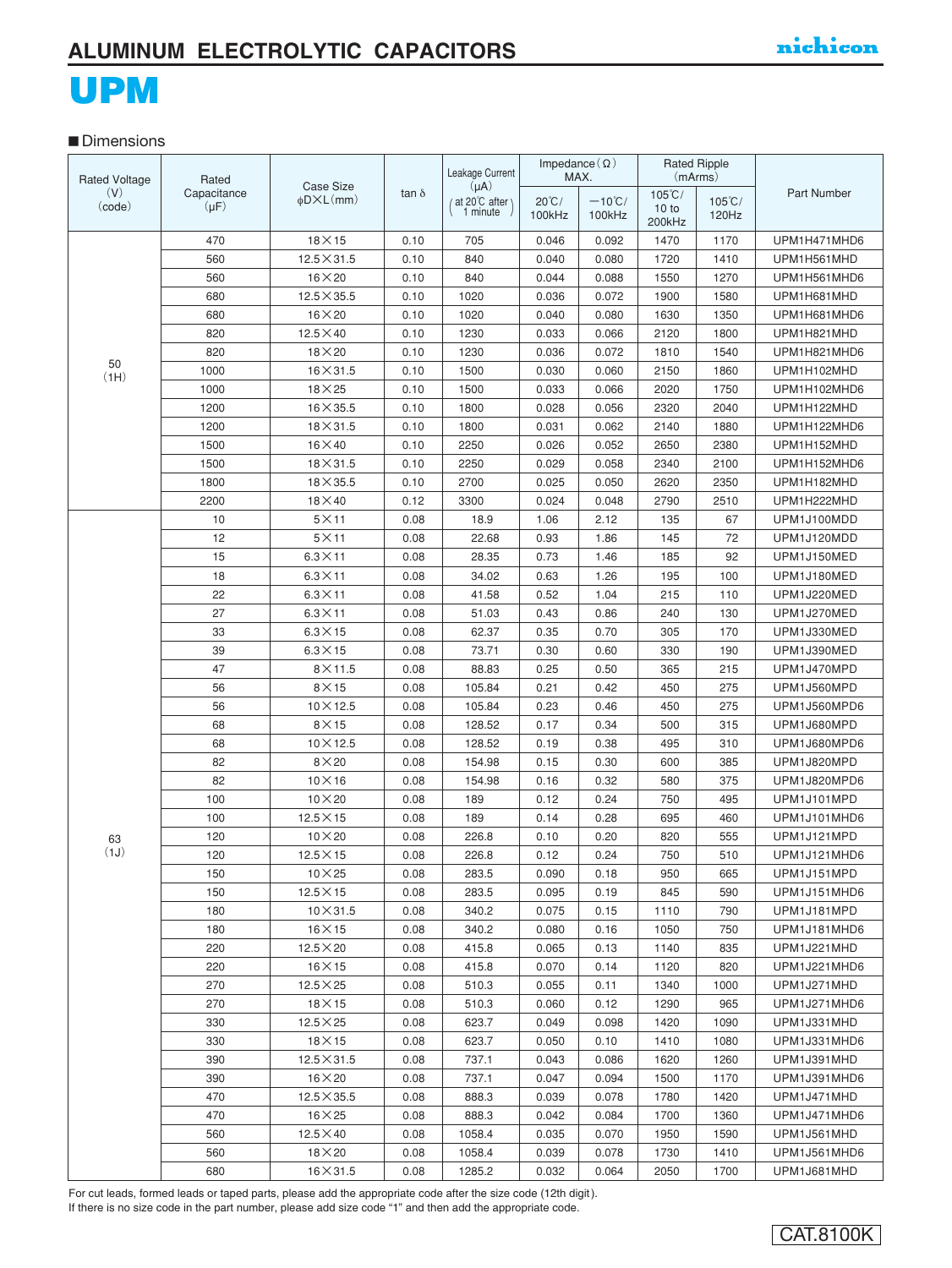#### **■** Dimensions

| <b>Rated Voltage</b> | Rated                    |                                         |              | Leakage Current                              |                           | Impedance $(\Omega)$<br>MAX. |                           | <b>Rated Ripple</b><br>(mArms) |              |
|----------------------|--------------------------|-----------------------------------------|--------------|----------------------------------------------|---------------------------|------------------------------|---------------------------|--------------------------------|--------------|
| (V)<br>(code)        | Capacitance<br>$(\mu F)$ | Case Size<br>$\phi$ D $\times$ L $(mm)$ | tan $\delta$ | $(\mu A)$<br>/ at 20°C after \<br>$1$ minute | $20^{\circ}$ C/<br>100kHz | $-10^{\circ}$ C/<br>100kHz   | $105^{\circ}$ C/<br>10 to | $105^{\circ}$ C/<br>120Hz      | Part Number  |
|                      |                          |                                         |              |                                              |                           |                              | 200kHz                    |                                |              |
|                      | 470                      | $18\times15$                            | 0.10         | 705                                          | 0.046                     | 0.092                        | 1470                      | 1170                           | UPM1H471MHD6 |
|                      | 560                      | $12.5 \times 31.5$                      | 0.10         | 840                                          | 0.040                     | 0.080                        | 1720                      | 1410                           | UPM1H561MHD  |
|                      | 560                      | $16\times20$                            | 0.10         | 840                                          | 0.044                     | 0.088                        | 1550                      | 1270                           | UPM1H561MHD6 |
|                      | 680                      | $12.5 \times 35.5$                      | 0.10         | 1020                                         | 0.036                     | 0.072                        | 1900                      | 1580                           | UPM1H681MHD  |
|                      | 680                      | $16\times20$                            | 0.10         | 1020                                         | 0.040                     | 0.080                        | 1630                      | 1350                           | UPM1H681MHD6 |
|                      | 820                      | $12.5 \times 40$                        | 0.10         | 1230                                         | 0.033                     | 0.066                        | 2120                      | 1800                           | UPM1H821MHD  |
| 50                   | 820                      | $18\times20$                            | 0.10         | 1230                                         | 0.036                     | 0.072                        | 1810                      | 1540                           | UPM1H821MHD6 |
| (HH)                 | 1000                     | $16\times31.5$                          | 0.10         | 1500                                         | 0.030                     | 0.060                        | 2150                      | 1860                           | UPM1H102MHD  |
|                      | 1000                     | $18\times25$                            | 0.10         | 1500                                         | 0.033                     | 0.066                        | 2020                      | 1750                           | UPM1H102MHD6 |
|                      | 1200                     | $16\times35.5$                          | 0.10         | 1800                                         | 0.028                     | 0.056                        | 2320                      | 2040                           | UPM1H122MHD  |
|                      | 1200                     | $18\times31.5$                          | 0.10         | 1800                                         | 0.031                     | 0.062                        | 2140                      | 1880                           | UPM1H122MHD6 |
|                      | 1500                     | $16\times 40$                           | 0.10         | 2250                                         | 0.026                     | 0.052                        | 2650                      | 2380                           | UPM1H152MHD  |
|                      | 1500                     | $18 \times 31.5$                        | 0.10         | 2250                                         | 0.029                     | 0.058                        | 2340                      | 2100                           | UPM1H152MHD6 |
|                      | 1800                     | $18\times35.5$                          | 0.10         | 2700                                         | 0.025                     | 0.050                        | 2620                      | 2350                           | UPM1H182MHD  |
|                      | 2200                     | $18\times 40$                           | 0.12         | 3300                                         | 0.024                     | 0.048                        | 2790                      | 2510                           | UPM1H222MHD  |
|                      | 10                       | $5\times11$                             | 0.08         | 18.9                                         | 1.06                      | 2.12                         | 135                       | 67                             | UPM1J100MDD  |
|                      | 12                       | $5\times11$                             | 0.08         | 22.68                                        | 0.93                      | 1.86                         | 145                       | 72                             | UPM1J120MDD  |
|                      | 15                       | $6.3 \times 11$                         | 0.08         | 28.35                                        | 0.73                      | 1.46                         | 185                       | 92                             | UPM1J150MED  |
|                      | 18                       | $6.3 \times 11$                         | 0.08         | 34.02                                        | 0.63                      | 1.26                         | 195                       | 100                            | UPM1J180MED  |
|                      | 22                       | $6.3\times11$                           | 0.08         | 41.58                                        | 0.52                      | 1.04                         | 215                       | 110                            | UPM1J220MED  |
|                      | 27                       | $6.3 \times 11$                         | 0.08         | 51.03                                        | 0.43                      | 0.86                         | 240                       | 130                            | UPM1J270MED  |
|                      | 33                       | $6.3\times15$                           | 0.08         | 62.37                                        | 0.35                      | 0.70                         | 305                       | 170                            | UPM1J330MED  |
|                      | 39                       | $6.3\times15$                           | 0.08         | 73.71                                        | 0.30                      | 0.60                         | 330                       | 190                            | UPM1J390MED  |
|                      | 47                       | $8\times$ 11.5                          | 0.08         | 88.83                                        | 0.25                      | 0.50                         | 365                       | 215                            | UPM1J470MPD  |
|                      | 56                       | $8\times15$                             | 0.08         | 105.84                                       | 0.21                      | 0.42                         | 450                       | 275                            | UPM1J560MPD  |
|                      | 56                       | $10 \times 12.5$                        | 0.08         | 105.84                                       | 0.23                      | 0.46                         | 450                       | 275                            | UPM1J560MPD6 |
|                      | 68                       | $8\times15$                             | 0.08         | 128.52                                       | 0.17                      | 0.34                         | 500                       | 315                            | UPM1J680MPD  |
|                      | 68                       | $10 \times 12.5$                        | 0.08         | 128.52                                       | 0.19                      | 0.38                         | 495                       | 310                            | UPM1J680MPD6 |
|                      | 82                       | $8\times20$                             | 0.08         | 154.98                                       | 0.15                      | 0.30                         | 600                       | 385                            | UPM1J820MPD  |
|                      | 82                       | $10\times16$                            | 0.08         | 154.98                                       | 0.16                      | 0.32                         | 580                       | 375                            | UPM1J820MPD6 |
|                      | 100                      | $10\times 20$                           | 0.08         | 189                                          | 0.12                      | 0.24                         | 750                       | 495                            | UPM1J101MPD  |
|                      | 100                      | $12.5 \times 15$                        | 0.08         | 189                                          | 0.14                      | 0.28                         | 695                       | 460                            | UPM1J101MHD6 |
| 63                   | 120                      | $10\times20$                            | 0.08         | 226.8                                        | 0.10                      | 0.20                         | 820                       | 555                            | UPM1J121MPD  |
| (1J)                 | 120                      | $12.5\times15$                          | 0.08         | 226.8                                        | 0.12                      | 0.24                         | 750                       | 510                            | UPM1J121MHD6 |
|                      | 150                      | $10\times25$                            | 0.08         | 283.5                                        | 0.090                     | 0.18                         | 950                       | 665                            | UPM1J151MPD  |
|                      | 150                      | $12.5\times15$                          | 0.08         | 283.5                                        | 0.095                     | 0.19                         | 845                       | 590                            | UPM1J151MHD6 |
|                      | 180                      | $10\times31.5$                          | 0.08         | 340.2                                        | 0.075                     | 0.15                         | 1110                      | 790                            | UPM1J181MPD  |
|                      | 180                      | $16\times 15$                           | 0.08         | 340.2                                        | 0.080                     | 0.16                         | 1050                      | 750                            | UPM1J181MHD6 |
|                      | 220                      | $12.5\times20$                          | 0.08         | 415.8                                        | 0.065                     | 0.13                         | 1140                      | 835                            | UPM1J221MHD  |
|                      | 220                      | $16\times15$                            | 0.08         | 415.8                                        | 0.070                     | 0.14                         | 1120                      | 820                            | UPM1J221MHD6 |
|                      | 270                      | $12.5\times25$                          | 0.08         | 510.3                                        | 0.055                     | 0.11                         | 1340                      | 1000                           | UPM1J271MHD  |
|                      | 270                      | $18\times15$                            | 0.08         | 510.3                                        | 0.060                     | 0.12                         | 1290                      | 965                            | UPM1J271MHD6 |
|                      | 330                      | $12.5\times25$                          | 0.08         | 623.7                                        | 0.049                     | 0.098                        | 1420                      | 1090                           | UPM1J331MHD  |
|                      | 330                      | $18\times 15$                           | 0.08         | 623.7                                        | 0.050                     | 0.10                         | 1410                      | 1080                           | UPM1J331MHD6 |
|                      | 390                      | $12.5 \times 31.5$                      | 0.08         | 737.1                                        | 0.043                     | 0.086                        | 1620                      | 1260                           | UPM1J391MHD  |
|                      | 390                      | $16\times20$                            | 0.08         | 737.1                                        | 0.047                     | 0.094                        | 1500                      | 1170                           | UPM1J391MHD6 |
|                      | 470                      | $12.5 \times 35.5$                      | 0.08         | 888.3                                        | 0.039                     | 0.078                        | 1780                      | 1420                           | UPM1J471MHD  |
|                      | 470                      | $16\times25$                            | 0.08         | 888.3                                        | 0.042                     | 0.084                        | 1700                      | 1360                           | UPM1J471MHD6 |
|                      | 560                      | $12.5 \times 40$                        | 0.08         | 1058.4                                       | 0.035                     | 0.070                        | 1950                      | 1590                           | UPM1J561MHD  |
|                      | 560                      | $18\times20$                            | 0.08         | 1058.4                                       | 0.039                     | 0.078                        | 1730                      | 1410                           | UPM1J561MHD6 |
|                      | 680                      | $16\times31.5$                          | 0.08         | 1285.2                                       | 0.032                     | 0.064                        | 2050                      | 1700                           | UPM1J681MHD  |

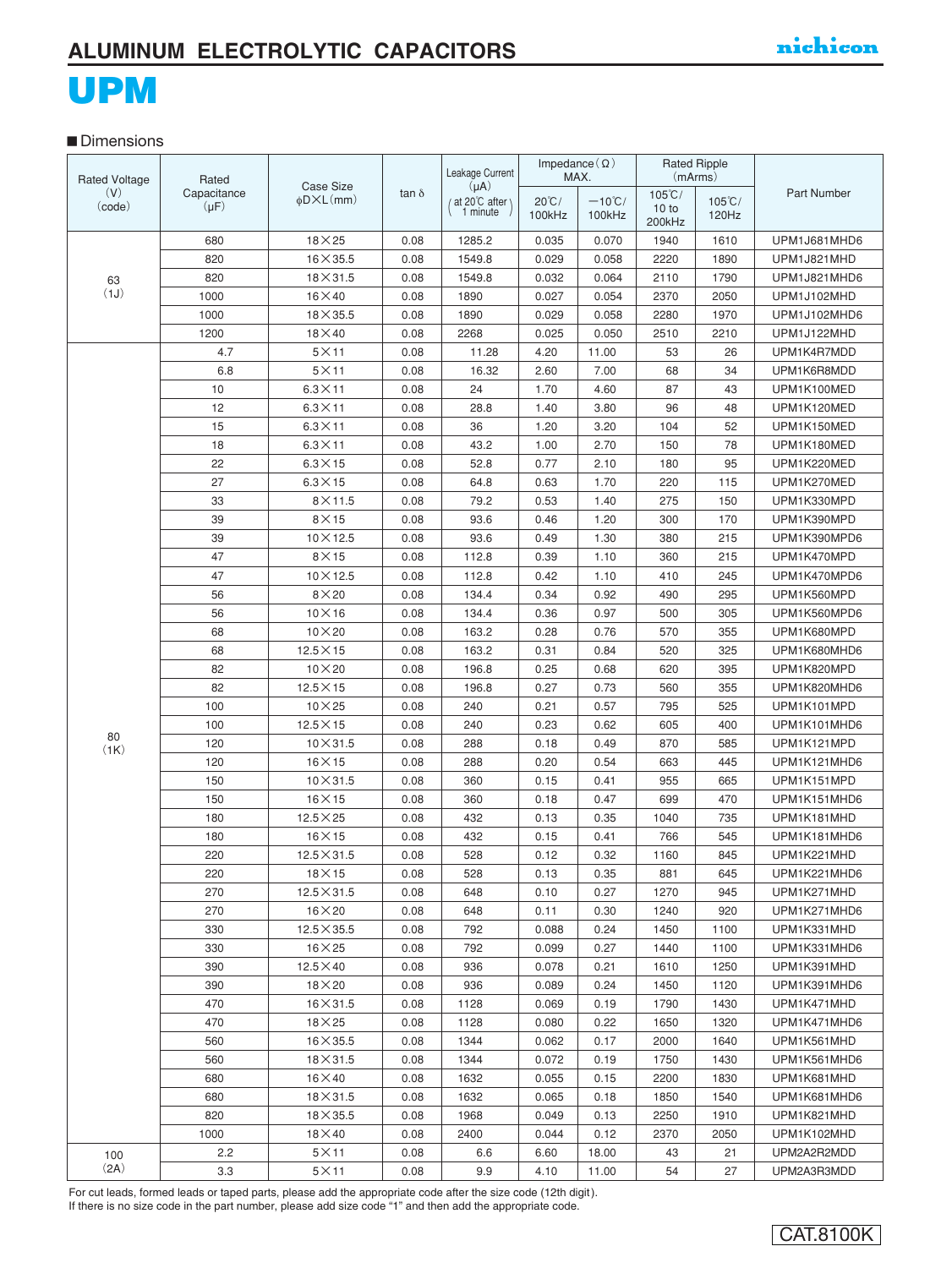#### ■**Dimensions**

| <b>Rated Voltage</b> | Rated       | <b>Case Size</b>           |              | Leakage Current            | Impedance $(\Omega)$ | MAX.             | <b>Rated Ripple</b><br>(mArms) |                  |                    |
|----------------------|-------------|----------------------------|--------------|----------------------------|----------------------|------------------|--------------------------------|------------------|--------------------|
| (V)                  | Capacitance | $\phi$ D $\times$ L $(mm)$ | tan $\delta$ | $(\mu A)$<br>at 20°C after | $20^{\circ}$ C/      | $-10^{\circ}$ C/ | $105^{\circ}$ C/               | $105^{\circ}$ C/ | <b>Part Number</b> |
| (code)               | $(\mu F)$   |                            |              | 1 minute                   | 100kHz               | 100kHz           | 10 to                          | 120Hz            |                    |
|                      |             |                            |              |                            |                      |                  | 200kHz                         |                  |                    |
|                      | 680         | $18\times25$               | 0.08         | 1285.2                     | 0.035                | 0.070            | 1940                           | 1610             | UPM1J681MHD6       |
|                      | 820         | $16\times35.5$             | 0.08         | 1549.8                     | 0.029                | 0.058            | 2220                           | 1890             | UPM1J821MHD        |
| 63<br>(1J)           | 820         | $18\times31.5$             | 0.08         | 1549.8                     | 0.032                | 0.064            | 2110                           | 1790             | UPM1J821MHD6       |
|                      | 1000        | $16\times40$               | 0.08         | 1890                       | 0.027                | 0.054            | 2370                           | 2050             | UPM1J102MHD        |
|                      | 1000        | $18\times35.5$             | 0.08         | 1890                       | 0.029                | 0.058            | 2280                           | 1970             | UPM1J102MHD6       |
|                      | 1200        | $18\times 40$              | 0.08         | 2268                       | 0.025                | 0.050            | 2510                           | 2210             | UPM1J122MHD        |
|                      | 4.7         | $5\times11$                | 0.08         | 11.28                      | 4.20                 | 11.00            | 53                             | 26               | UPM1K4R7MDD        |
|                      | 6.8         | $5\times11$                | 0.08         | 16.32                      | 2.60                 | 7.00             | 68                             | 34               | UPM1K6R8MDD        |
|                      | 10          | $6.3 \times 11$            | 0.08         | 24                         | 1.70                 | 4.60             | 87                             | 43               | UPM1K100MED        |
|                      | 12          | $6.3 \times 11$            | 0.08         | 28.8                       | 1.40                 | 3.80             | 96                             | 48               | UPM1K120MED        |
|                      | 15          | $6.3\times11$              | 0.08         | 36                         | 1.20                 | 3.20             | 104                            | 52               | UPM1K150MED        |
|                      | 18          | $6.3\times11$              | 0.08         | 43.2                       | 1.00                 | 2.70             | 150                            | 78               | UPM1K180MED        |
|                      | 22          | $6.3 \times 15$            | 0.08         | 52.8                       | 0.77                 | 2.10             | 180                            | 95               | UPM1K220MED        |
|                      | 27          | $6.3\times15$              | 0.08         | 64.8                       | 0.63                 | 1.70             | 220                            | 115              | UPM1K270MED        |
|                      | 33          | $8\times$ 11.5             | 0.08         | 79.2                       | 0.53                 | 1.40             | 275                            | 150              | UPM1K330MPD        |
|                      | 39          | $8\times15$                | 0.08         | 93.6                       | 0.46                 | 1.20             | 300                            | 170              | UPM1K390MPD        |
|                      | 39          | $10 \times 12.5$           | 0.08         | 93.6                       | 0.49                 | 1.30             | 380                            | 215              | UPM1K390MPD6       |
|                      | 47          | $8\times15$                | 0.08         | 112.8                      | 0.39                 | 1.10             | 360                            | 215              | UPM1K470MPD        |
|                      | 47          | $10 \times 12.5$           | 0.08         | 112.8                      | 0.42                 | 1.10             | 410                            | 245              | UPM1K470MPD6       |
|                      | 56          | $8\times20$                | 0.08         | 134.4                      | 0.34                 | 0.92             | 490                            | 295              | UPM1K560MPD        |
|                      | 56          | $10\times16$               | 0.08         | 134.4                      | 0.36                 | 0.97             | 500                            | 305              | UPM1K560MPD6       |
|                      | 68          | $10\times 20$              | 0.08         | 163.2                      | 0.28                 | 0.76             | 570                            | 355              | UPM1K680MPD        |
|                      | 68          | $12.5 \times 15$           | 0.08         | 163.2                      | 0.31                 | 0.84             | 520                            | 325              | UPM1K680MHD6       |
|                      | 82          | $10\times 20$              | 0.08         | 196.8                      | 0.25                 | 0.68             | 620                            | 395              | UPM1K820MPD        |
|                      | 82          | $12.5 \times 15$           | 0.08         | 196.8                      | 0.27                 | 0.73             | 560                            | 355              | UPM1K820MHD6       |
|                      | 100         | $10\times25$               | 0.08         | 240                        | 0.21                 | 0.57             | 795                            | 525              | UPM1K101MPD        |
| 80                   | 100         | $12.5 \times 15$           | 0.08         | 240                        | 0.23                 | 0.62             | 605                            | 400              | UPM1K101MHD6       |
| (1K)                 | 120         | $10\times31.5$             | 0.08         | 288                        | 0.18                 | 0.49             | 870                            | 585              | UPM1K121MPD        |
|                      | 120         | $16\times15$               | 0.08         | 288                        | 0.20                 | 0.54             | 663                            | 445              | UPM1K121MHD6       |
|                      | 150         | $10\times31.5$             | 0.08         | 360                        | 0.15                 | 0.41             | 955                            | 665              | UPM1K151MPD        |
|                      | 150         | $16\times15$               | 0.08         | 360                        | 0.18                 | 0.47             | 699                            | 470              | UPM1K151MHD6       |
|                      | 180         | $12.5 \times 25$           | 0.08         | 432                        | 0.13                 | 0.35             | 1040                           | 735              | UPM1K181MHD        |
|                      | 180         | $16\times15$               | 0.08         | 432                        | 0.15                 | 0.41             | 766                            | 545              | UPM1K181MHD6       |
|                      | 220         | $12.5 \times 31.5$         | 0.08         | 528                        | 0.12                 | 0.32             | 1160                           | 845              | UPM1K221MHD        |
|                      | 220         | $18 \times 15$             | 0.08         | 528                        | 0.13                 | 0.35             | 881                            | 645              | UPM1K221MHD6       |
|                      | 270         | $12.5 \times 31.5$         | 0.08         | 648                        | 0.10                 | 0.27             | 1270                           | 945              | UPM1K271MHD        |
|                      | 270         | $16\times20$               | 0.08         | 648                        | 0.11                 | 0.30             | 1240                           | 920              | UPM1K271MHD6       |
|                      | 330         | $12.5 \times 35.5$         | 0.08         | 792                        | 0.088                | 0.24             | 1450                           | 1100             | UPM1K331MHD        |
|                      | 330         | $16\times25$               | 0.08         | 792                        | 0.099                | 0.27             | 1440                           | 1100             | UPM1K331MHD6       |
|                      | 390         | $12.5 \times 40$           | 0.08         | 936                        | 0.078                | 0.21             | 1610                           | 1250             | UPM1K391MHD        |
|                      | 390         | $18\times20$               | 0.08         | 936                        | 0.089                | 0.24             | 1450                           | 1120             | UPM1K391MHD6       |
|                      | 470         | $16 \times 31.5$           | 0.08         | 1128                       | 0.069                | 0.19             | 1790                           | 1430             | UPM1K471MHD        |
|                      | 470         | $18\times25$               | 0.08         | 1128                       | 0.080                | 0.22             | 1650                           | 1320             | UPM1K471MHD6       |
|                      | 560         | $16\times35.5$             | 0.08         | 1344                       | 0.062                | 0.17             | 2000                           | 1640             | UPM1K561MHD        |
|                      | 560         | $18\times31.5$             | 0.08         | 1344                       | 0.072                | 0.19             | 1750                           | 1430             | UPM1K561MHD6       |
|                      | 680         | $16\times 40$              | 0.08         | 1632                       | 0.055                | 0.15             | 2200                           | 1830             | UPM1K681MHD        |
|                      | 680         | $18 \times 31.5$           | 0.08         | 1632                       | 0.065                | 0.18             | 1850                           | 1540             | UPM1K681MHD6       |
|                      | 820         | $18\times35.5$             | 0.08         | 1968                       | 0.049                | 0.13             | 2250                           | 1910             | UPM1K821MHD        |
|                      | 1000        | $18\times 40$              | 0.08         | 2400                       | 0.044                | 0.12             | 2370                           | 2050             | UPM1K102MHD        |
| 100                  | 2.2         | $5\times11$                | 0.08         | 6.6                        | 6.60                 | 18.00            | 43                             | 21               | UPM2A2R2MDD        |
| (2A)                 | 3.3         | $5\times11$                | 0.08         | 9.9                        | 4.10                 | 11.00            | 54                             | 27               | UPM2A3R3MDD        |

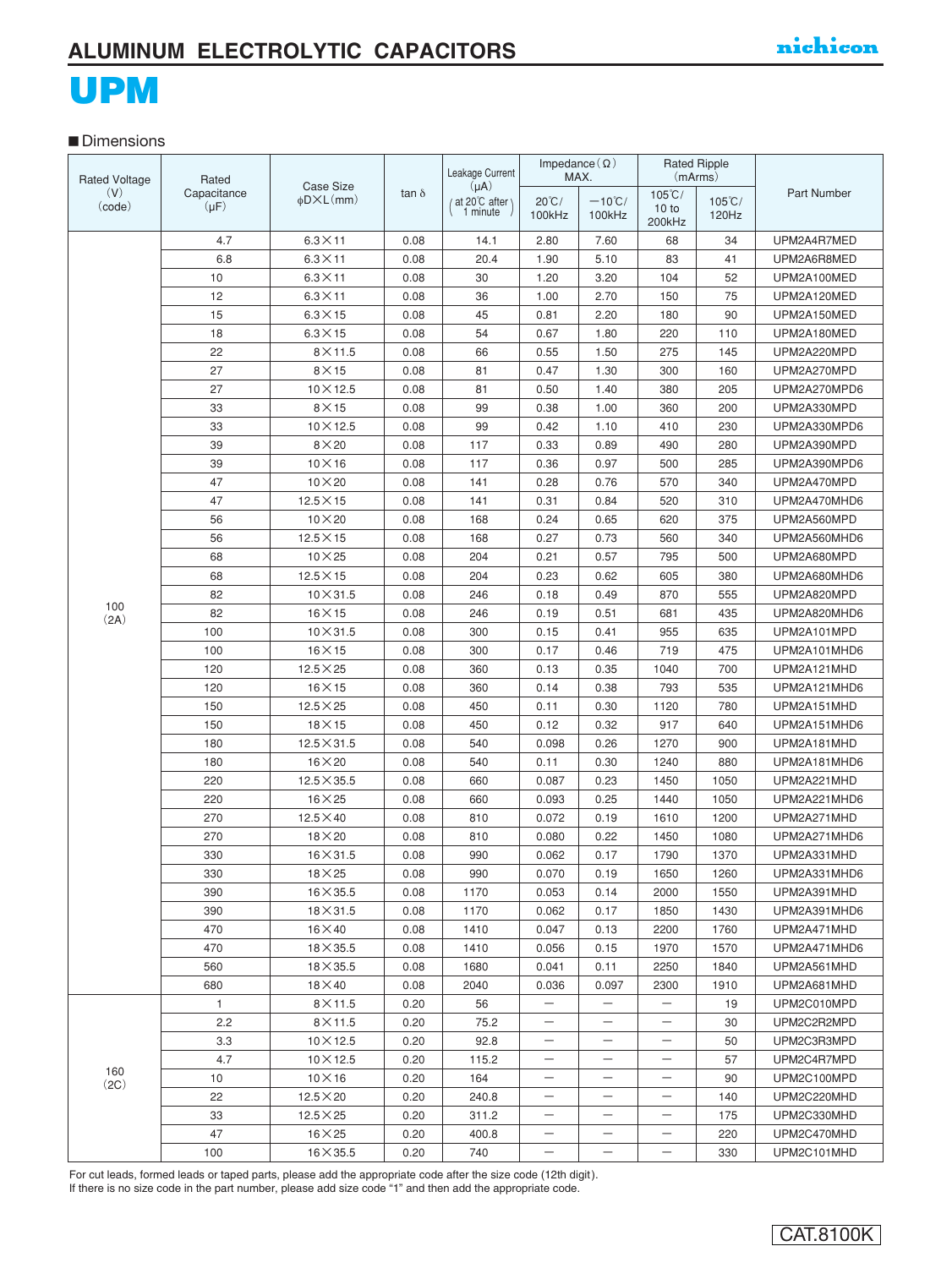# UPM

### **■** Dimensions

| <b>Rated Voltage</b> | Rated        |                                                |              | Leakage Current            | Impedance $(\Omega)$<br>MAX. |                          |                          | <b>Rated Ripple</b><br>(mArms) |              |
|----------------------|--------------|------------------------------------------------|--------------|----------------------------|------------------------------|--------------------------|--------------------------|--------------------------------|--------------|
| (V)                  | Capacitance  | <b>Case Size</b><br>$\phi$ D $\times$ L $(mm)$ | tan $\delta$ | $(\mu A)$<br>at 20°C after | $20^{\circ}$ C/              | $-10^{\circ}$ C/         | $105^{\circ}$ C/         | $105^{\circ}$ C/               | Part Number  |
| (code)               | $(\mu F)$    |                                                |              | 1 minute                   | 100kHz                       | 100kHz                   | 10 to<br>200kHz          | 120Hz                          |              |
|                      | 4.7          | $6.3\times11$                                  | 0.08         | 14.1                       | 2.80                         | 7.60                     | 68                       | 34                             | UPM2A4R7MED  |
|                      | 6.8          | $6.3\times11$                                  | 0.08         | 20.4                       | 1.90                         | 5.10                     | 83                       | 41                             | UPM2A6R8MED  |
|                      | 10           | $6.3 \times 11$                                | 0.08         | 30                         | 1.20                         | 3.20                     | 104                      | 52                             | UPM2A100MED  |
|                      | 12           | $6.3 \times 11$                                | 0.08         | 36                         | 1.00                         | 2.70                     | 150                      | 75                             | UPM2A120MED  |
|                      | 15           | $6.3\times15$                                  | 0.08         | 45                         | 0.81                         | 2.20                     | 180                      | 90                             | UPM2A150MED  |
|                      | 18           | $6.3\times15$                                  | 0.08         | 54                         | 0.67                         | 1.80                     | 220                      | 110                            | UPM2A180MED  |
|                      | 22           | $8\times11.5$                                  | 0.08         | 66                         | 0.55                         | 1.50                     | 275                      | 145                            | UPM2A220MPD  |
|                      | 27           | $8\times15$                                    | 0.08         | 81                         | 0.47                         | 1.30                     | 300                      | 160                            | UPM2A270MPD  |
|                      | 27           | $10\times12.5$                                 | 0.08         | 81                         | 0.50                         | 1.40                     | 380                      | 205                            | UPM2A270MPD6 |
|                      | 33           | $8\times15$                                    | 0.08         | 99                         | 0.38                         | 1.00                     | 360                      | 200                            | UPM2A330MPD  |
|                      | 33           | $10\times12.5$                                 | 0.08         | 99                         | 0.42                         | 1.10                     | 410                      | 230                            | UPM2A330MPD6 |
|                      | 39           | $8\times20$                                    | 0.08         | 117                        | 0.33                         | 0.89                     | 490                      | 280                            | UPM2A390MPD  |
|                      | 39           | $10\times16$                                   | 0.08         | 117                        | 0.36                         | 0.97                     | 500                      | 285                            | UPM2A390MPD6 |
|                      | 47           | $10\times 20$                                  | 0.08         | 141                        | 0.28                         | 0.76                     | 570                      | 340                            | UPM2A470MPD  |
|                      | 47           | $12.5 \times 15$                               | 0.08         | 141                        | 0.31                         | 0.84                     | 520                      | 310                            | UPM2A470MHD6 |
|                      | 56           | $10\times 20$                                  | 0.08         | 168                        | 0.24                         | 0.65                     | 620                      | 375                            | UPM2A560MPD  |
|                      | 56           | $12.5\times15$                                 | 0.08         | 168                        | 0.27                         | 0.73                     | 560                      | 340                            | UPM2A560MHD6 |
|                      | 68           | $10\times25$                                   | 0.08         | 204                        | 0.21                         | 0.57                     | 795                      | 500                            | UPM2A680MPD  |
|                      | 68           | $12.5 \times 15$                               | 0.08         | 204                        | 0.23                         | 0.62                     | 605                      | 380                            | UPM2A680MHD6 |
|                      | 82           | $10\times31.5$                                 | 0.08         | 246                        | 0.18                         | 0.49                     | 870                      | 555                            | UPM2A820MPD  |
| 100                  | 82           | $16\times15$                                   | 0.08         | 246                        | 0.19                         | 0.51                     | 681                      | 435                            | UPM2A820MHD6 |
| (2A)                 | 100          | $10\times31.5$                                 | 0.08         | 300                        | 0.15                         | 0.41                     | 955                      | 635                            | UPM2A101MPD  |
|                      | 100          | $16\times15$                                   | 0.08         | 300                        | 0.17                         | 0.46                     | 719                      | 475                            | UPM2A101MHD6 |
|                      | 120          | $12.5 \times 25$                               | 0.08         | 360                        | 0.13                         | 0.35                     | 1040                     | 700                            | UPM2A121MHD  |
|                      | 120          | $16\times15$                                   | 0.08         | 360                        | 0.14                         | 0.38                     | 793                      | 535                            | UPM2A121MHD6 |
|                      | 150          | $12.5\times25$                                 | 0.08         | 450                        | 0.11                         | 0.30                     | 1120                     | 780                            | UPM2A151MHD  |
|                      | 150          | $18\times15$                                   | 0.08         | 450                        | 0.12                         | 0.32                     | 917                      | 640                            | UPM2A151MHD6 |
|                      | 180          | $12.5 \times 31.5$                             | 0.08         | 540                        | 0.098                        | 0.26                     | 1270                     | 900                            | UPM2A181MHD  |
|                      | 180          | $16\times20$                                   | 0.08         | 540                        | 0.11                         | 0.30                     | 1240                     | 880                            | UPM2A181MHD6 |
|                      | 220          | $12.5 \times 35.5$                             | 0.08         | 660                        | 0.087                        | 0.23                     | 1450                     | 1050                           | UPM2A221MHD  |
|                      | 220          | $16\times25$                                   | 0.08         | 660                        | 0.093                        | 0.25                     | 1440                     | 1050                           | UPM2A221MHD6 |
|                      | 270          | $12.5 \times 40$                               | 0.08         | 810                        | 0.072                        | 0.19                     | 1610                     | 1200                           | UPM2A271MHD  |
|                      | 270          | $18\times20$                                   | 0.08         | 810                        | 0.080                        | 0.22                     | 1450                     | 1080                           | UPM2A271MHD6 |
|                      | 330          | $16\times31.5$                                 | 0.08         | 990                        | 0.062                        | 0.17                     | 1790                     | 1370                           | UPM2A331MHD  |
|                      | 330          | $18\times25$                                   | 0.08         | 990                        | 0.070                        | 0.19                     | 1650                     | 1260                           | UPM2A331MHD6 |
|                      | 390          | $16 \times 35.5$                               | 0.08         | 1170                       | 0.053                        | 0.14                     | 2000                     | 1550                           | UPM2A391MHD  |
|                      | 390          | $18\times31.5$                                 | 0.08         | 1170                       | 0.062                        | 0.17                     | 1850                     | 1430                           | UPM2A391MHD6 |
|                      | 470          | $16\times 40$                                  | 0.08         | 1410                       | 0.047                        | 0.13                     | 2200                     | 1760                           | UPM2A471MHD  |
|                      | 470          | $18 \times 35.5$                               | 0.08         | 1410                       | 0.056                        | 0.15                     | 1970                     | 1570                           | UPM2A471MHD6 |
|                      | 560          | $18\times35.5$                                 | 0.08         | 1680                       | 0.041                        | 0.11                     | 2250                     | 1840                           | UPM2A561MHD  |
|                      | 680          | $18\times 40$                                  | 0.08         | 2040                       | 0.036                        | 0.097                    | 2300                     | 1910                           | UPM2A681MHD  |
|                      | $\mathbf{1}$ | $8\times$ 11.5                                 | 0.20         | 56                         |                              | $\overline{\phantom{0}}$ |                          | 19                             | UPM2C010MPD  |
|                      | 2.2          | $8\times11.5$                                  | 0.20         | 75.2                       | -                            | -                        | $\overline{\phantom{m}}$ | 30                             | UPM2C2R2MPD  |
|                      | 3.3          | $10\times12.5$                                 | 0.20         | 92.8                       | -                            |                          |                          | 50                             | UPM2C3R3MPD  |
|                      | 4.7          | $10\times12.5$                                 | 0.20         | 115.2                      | -                            | —                        | $\qquad \qquad -$        | 57                             | UPM2C4R7MPD  |
| 160<br>(2C)          | 10           | $10\times16$                                   | 0.20         | 164                        | $\qquad \qquad -$            | -                        |                          | 90                             | UPM2C100MPD  |
|                      | 22           | $12.5\times20$                                 | 0.20         | 240.8                      | -                            | $\overline{\phantom{0}}$ |                          | 140                            | UPM2C220MHD  |
|                      | 33           | $12.5\times25$                                 | 0.20         | 311.2                      | -                            | $\overline{\phantom{0}}$ |                          | 175                            | UPM2C330MHD  |
|                      | 47           | $16\times25$                                   | 0.20         | 400.8                      | -                            | —                        |                          | 220                            | UPM2C470MHD  |
|                      | 100          | $16 \times 35.5$                               | 0.20         | 740                        |                              |                          |                          | 330                            | UPM2C101MHD  |

For cut leads, formed leads or taped parts, please add the appropriate code after the size code (12th digit). If there is no size code in the part number, please add size code "1" and then add the appropriate code.

CAT.8100K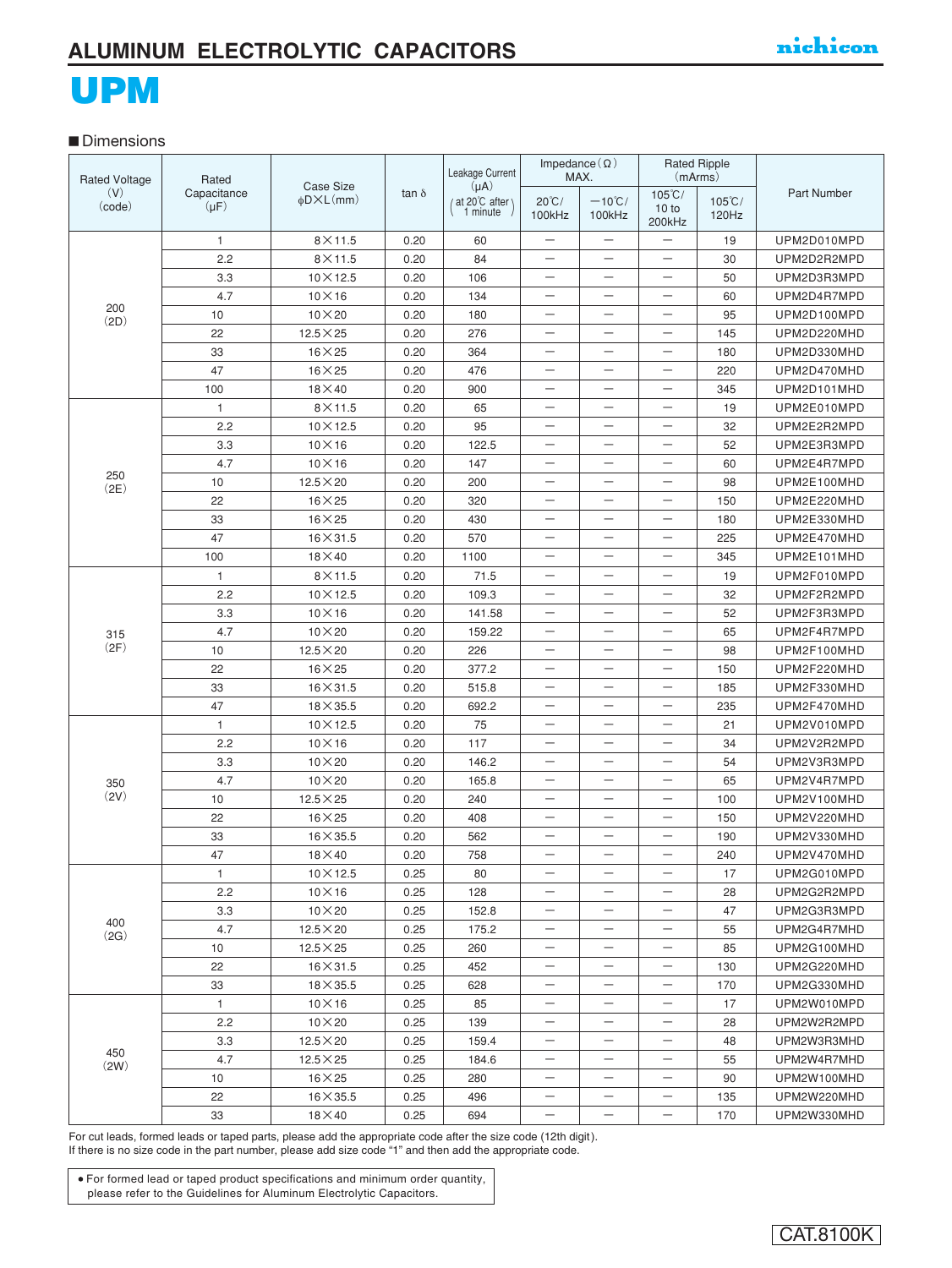#### **■** Dimensions

| <b>Rated Voltage</b> | Rated                    |                                         | tan $\delta$ | Leakage Current                        | Impedance $(\Omega)$      | MAX.                       | (mArms)                             | <b>Rated Ripple</b>       |                    |  |
|----------------------|--------------------------|-----------------------------------------|--------------|----------------------------------------|---------------------------|----------------------------|-------------------------------------|---------------------------|--------------------|--|
| (V)<br>(code)        | Capacitance<br>$(\mu F)$ | Case Size<br>$\phi$ D $\times$ L $(mm)$ |              | $(\mu A)$<br>at 20°C after<br>1 minute | $20^{\circ}$ C/<br>100kHz | $-10^{\circ}$ C/<br>100kHz | $105^{\circ}$ C/<br>10 to<br>200kHz | $105^{\circ}$ C/<br>120Hz | <b>Part Number</b> |  |
|                      | 1                        | $8\times11.5$                           | 0.20         | 60                                     | —                         | $\overline{\phantom{0}}$   | —                                   | 19                        | UPM2D010MPD        |  |
|                      | 2.2                      | $8\times11.5$                           | 0.20         | 84                                     | —                         | —                          | —                                   | 30                        | UPM2D2R2MPD        |  |
|                      | 3.3                      | $10\times12.5$                          | 0.20         | 106                                    | —                         |                            | —                                   | 50                        | UPM2D3R3MPD        |  |
|                      | 4.7                      | $10\times16$                            | 0.20         | 134                                    | $\overline{\phantom{0}}$  | $\overline{\phantom{0}}$   | $\overline{\phantom{0}}$            | 60                        | UPM2D4R7MPD        |  |
| 200<br>(2D)          | 10                       | $10\times 20$                           | 0.20         | 180                                    | $\overline{\phantom{0}}$  | $\overline{\phantom{0}}$   |                                     | 95                        | UPM2D100MPD        |  |
|                      | 22                       | $12.5\times25$                          | 0.20         | 276                                    | $\overline{\phantom{0}}$  | $\overline{\phantom{0}}$   | $\overline{\phantom{0}}$            | 145                       | UPM2D220MHD        |  |
|                      | 33                       | $16\times25$                            | 0.20         | 364                                    | —                         | $\overline{\phantom{0}}$   | $\overline{\phantom{0}}$            | 180                       | UPM2D330MHD        |  |
|                      | 47                       | $16\times25$                            | 0.20         | 476                                    | —                         | -                          | $\overline{\phantom{0}}$            | 220                       | UPM2D470MHD        |  |
|                      | 100                      | $18\times 40$                           | 0.20         | 900                                    | —                         |                            | —                                   | 345                       | UPM2D101MHD        |  |
|                      | 1                        | $8\times11.5$                           | 0.20         | 65                                     | —                         |                            | $\overline{\phantom{0}}$            | 19                        | UPM2E010MPD        |  |
|                      | 2.2                      | $10\times12.5$                          | 0.20         | 95                                     | —                         | $\qquad \qquad -$          | $\qquad \qquad -$                   | 32                        | UPM2E2R2MPD        |  |
|                      | 3.3                      | $10\times16$                            | 0.20         | 122.5                                  | —                         | —                          | $\overline{\phantom{0}}$            | 52                        | UPM2E3R3MPD        |  |
|                      | 4.7                      | $10\times16$                            | 0.20         | 147                                    | $\overline{\phantom{0}}$  | $\overline{\phantom{0}}$   | $\overline{\phantom{0}}$            | 60                        | UPM2E4R7MPD        |  |
| 250<br>(2E)          | 10                       | $12.5\times20$                          | 0.20         | 200                                    | $\overline{\phantom{0}}$  | $\overline{\phantom{0}}$   | $\overline{\phantom{0}}$            | 98                        | UPM2E100MHD        |  |
|                      | 22                       | $16\times25$                            | 0.20         | 320                                    | —                         | $\overline{\phantom{0}}$   | $\overline{\phantom{0}}$            | 150                       | UPM2E220MHD        |  |
|                      | 33                       | $16\times25$                            | 0.20         | 430                                    | -                         | $\overline{\phantom{0}}$   | $\overline{\phantom{0}}$            | 180                       | UPM2E330MHD        |  |
|                      | 47                       | $16 \times 31.5$                        | 0.20         | 570                                    | —                         | -                          | -                                   | 225                       | UPM2E470MHD        |  |
|                      | 100                      | $18\times 40$                           | 0.20         | 1100                                   | —                         |                            | —                                   | 345                       | UPM2E101MHD        |  |
|                      | $\mathbf{1}$             | $8\times11.5$                           | 0.20         | 71.5                                   | —                         | $\overline{\phantom{0}}$   | —                                   | 19                        | UPM2F010MPD        |  |
|                      | 2.2                      | $10\times12.5$                          | 0.20         | 109.3                                  | —                         |                            | $\overline{\phantom{0}}$            | 32                        | UPM2F2R2MPD        |  |
|                      | 3.3                      | $10\times16$                            | 0.20         | 141.58                                 | $\overline{\phantom{0}}$  | $\overline{\phantom{0}}$   | $\overline{\phantom{0}}$            | 52                        | UPM2F3R3MPD        |  |
| 315                  | 4.7                      | $10\times 20$                           | 0.20         | 159.22                                 | $\overline{\phantom{0}}$  | $\overline{\phantom{0}}$   | $\overline{\phantom{0}}$            | 65                        | UPM2F4R7MPD        |  |
| (2F)                 | 10                       | $12.5 \times 20$                        | 0.20         | 226                                    | $\overline{\phantom{0}}$  | $\overline{\phantom{0}}$   | $\overline{\phantom{0}}$            | 98                        | UPM2F100MHD        |  |
|                      | 22                       | $16\times25$                            | 0.20         | 377.2                                  | $\overline{\phantom{0}}$  | $\qquad \qquad -$          | $\overline{\phantom{0}}$            | 150                       | UPM2F220MHD        |  |
|                      | 33                       | $16 \times 31.5$                        | 0.20         | 515.8                                  | $\qquad \qquad -$         | $\overline{\phantom{0}}$   | $\overline{\phantom{0}}$            | 185                       | UPM2F330MHD        |  |
|                      | 47                       | $18\times35.5$                          | 0.20         | 692.2                                  | —                         | —                          | $\overline{\phantom{0}}$            | 235                       | UPM2F470MHD        |  |
|                      | 1                        | $10\times12.5$                          | 0.20         | 75                                     | —                         | $\overline{\phantom{0}}$   | $\overline{\phantom{0}}$            | 21                        | UPM2V010MPD        |  |
|                      | 2.2                      | $10\times16$                            | 0.20         | 117                                    | —                         | $\qquad \qquad -$          | $\qquad \qquad -$                   | 34                        | UPM2V2R2MPD        |  |
|                      | 3.3                      | $10\times20$                            | 0.20         | 146.2                                  | —                         | $\qquad \qquad -$          | $\overline{\phantom{0}}$            | 54                        | UPM2V3R3MPD        |  |
| 350                  | 4.7                      | $10\times 20$                           | 0.20         | 165.8                                  | $\overline{\phantom{0}}$  | $\qquad \qquad -$          | $\overline{\phantom{0}}$            | 65                        | UPM2V4R7MPD        |  |
| (2V)                 | 10                       | $12.5\times25$                          | 0.20         | 240                                    | $\overline{\phantom{0}}$  | $\overline{\phantom{0}}$   | $\overline{\phantom{0}}$            | 100                       | UPM2V100MHD        |  |
|                      | 22                       | $16\times25$                            | 0.20         | 408                                    | —                         | $\overline{\phantom{0}}$   | $\overline{\phantom{0}}$            | 150                       | UPM2V220MHD        |  |
|                      | 33                       | $16\times35.5$                          | 0.20         | 562                                    | —                         | -                          | -                                   | 190                       | UPM2V330MHD        |  |
|                      | 47                       | $18\times 40$                           | 0.20         | 758                                    | —                         | —                          |                                     | 240                       | UPM2V470MHD        |  |
|                      | Т.                       | $10 \times 12.5$                        | 0.25         | 80                                     |                           |                            |                                     | 17                        | UPM2G010MPD        |  |
|                      | 2.2                      | $10\times16$                            | 0.25         | 128                                    | —                         | —                          | —                                   | 28                        | UPM2G2R2MPD        |  |
|                      | 3.3                      | $10\times 20$                           | 0.25         | 152.8                                  | -                         | -                          | -                                   | 47                        | UPM2G3R3MPD        |  |
| 400<br>(2G)          | 4.7                      | $12.5 \times 20$                        | 0.25         | 175.2                                  |                           |                            |                                     | 55                        | UPM2G4R7MHD        |  |
|                      | 10                       | $12.5 \times 25$                        | 0.25         | 260                                    | —                         | —                          | $\overline{\phantom{0}}$            | 85                        | UPM2G100MHD        |  |
|                      | 22                       | $16 \times 31.5$                        | 0.25         | 452                                    | $\overline{\phantom{0}}$  | $\overline{\phantom{0}}$   | $\overline{\phantom{0}}$            | 130                       | UPM2G220MHD        |  |
|                      | 33                       | $18\times35.5$                          | 0.25         | 628                                    | —                         | $\overline{\phantom{0}}$   | —                                   | 170                       | UPM2G330MHD        |  |
|                      | 1                        | $10\times16$                            | 0.25         | 85                                     | $\qquad \qquad -$         | —                          |                                     | 17                        | UPM2W010MPD        |  |
|                      | 2.2                      | $10\times 20$                           | 0.25         | 139                                    | —                         | —                          | —                                   | 28                        | UPM2W2R2MPD        |  |
|                      | 3.3                      | $12.5\times20$                          | 0.25         | 159.4                                  | $\qquad \qquad -$         | —                          | $\qquad \qquad -$                   | 48                        | UPM2W3R3MHD        |  |
| 450<br>(2W)          | 4.7                      | $12.5 \times 25$                        | 0.25         | 184.6                                  | —                         | $\qquad \qquad -$          | —                                   | 55                        | UPM2W4R7MHD        |  |
|                      | 10                       | $16\times25$                            | 0.25         | 280                                    | —                         | —                          | —                                   | 90                        | UPM2W100MHD        |  |
|                      | 22                       | $16\times35.5$                          | 0.25         | 496                                    | —                         | —                          | —                                   | 135                       | UPM2W220MHD        |  |
|                      | 33                       | $18\times 40$                           | 0.25         | 694                                    |                           | $\qquad \qquad -$          | $\qquad \qquad -$                   | 170                       | UPM2W330MHD        |  |

For cut leads, formed leads or taped parts, please add the appropriate code after the size code (12th digit). If there is no size code in the part number, please add size code "1" and then add the appropriate code.

For formed lead or taped product specifications and minimum order quantity, please refer to the Guidelines for Aluminum Electrolytic Capacitors.